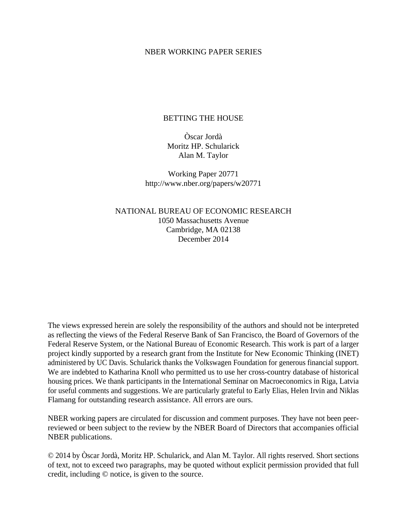#### NBER WORKING PAPER SERIES

#### BETTING THE HOUSE

Òscar Jordà Moritz HP. Schularick Alan M. Taylor

Working Paper 20771 http://www.nber.org/papers/w20771

NATIONAL BUREAU OF ECONOMIC RESEARCH 1050 Massachusetts Avenue Cambridge, MA 02138 December 2014

The views expressed herein are solely the responsibility of the authors and should not be interpreted as reflecting the views of the Federal Reserve Bank of San Francisco, the Board of Governors of the Federal Reserve System, or the National Bureau of Economic Research. This work is part of a larger project kindly supported by a research grant from the Institute for New Economic Thinking (INET) administered by UC Davis. Schularick thanks the Volkswagen Foundation for generous financial support. We are indebted to Katharina Knoll who permitted us to use her cross-country database of historical housing prices. We thank participants in the International Seminar on Macroeconomics in Riga, Latvia for useful comments and suggestions. We are particularly grateful to Early Elias, Helen Irvin and Niklas Flamang for outstanding research assistance. All errors are ours.

NBER working papers are circulated for discussion and comment purposes. They have not been peerreviewed or been subject to the review by the NBER Board of Directors that accompanies official NBER publications.

© 2014 by Òscar Jordà, Moritz HP. Schularick, and Alan M. Taylor. All rights reserved. Short sections of text, not to exceed two paragraphs, may be quoted without explicit permission provided that full credit, including © notice, is given to the source.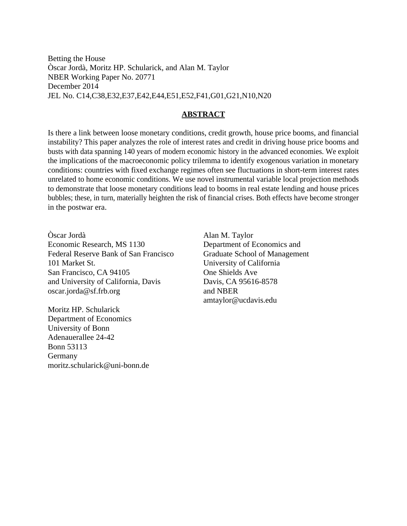Betting the House Òscar Jordà, Moritz HP. Schularick, and Alan M. Taylor NBER Working Paper No. 20771 December 2014 JEL No. C14,C38,E32,E37,E42,E44,E51,E52,F41,G01,G21,N10,N20

## **ABSTRACT**

Is there a link between loose monetary conditions, credit growth, house price booms, and financial instability? This paper analyzes the role of interest rates and credit in driving house price booms and busts with data spanning 140 years of modern economic history in the advanced economies. We exploit the implications of the macroeconomic policy trilemma to identify exogenous variation in monetary conditions: countries with fixed exchange regimes often see fluctuations in short-term interest rates unrelated to home economic conditions. We use novel instrumental variable local projection methods to demonstrate that loose monetary conditions lead to booms in real estate lending and house prices bubbles; these, in turn, materially heighten the risk of financial crises. Both effects have become stronger in the postwar era.

Òscar Jordà Economic Research, MS 1130 Federal Reserve Bank of San Francisco 101 Market St. San Francisco, CA 94105 and University of California, Davis oscar.jorda@sf.frb.org

Moritz HP. Schularick Department of Economics University of Bonn Adenauerallee 24-42 Bonn 53113 Germany moritz.schularick@uni-bonn.de

Alan M. Taylor Department of Economics and Graduate School of Management University of California One Shields Ave Davis, CA 95616-8578 and NBER amtaylor@ucdavis.edu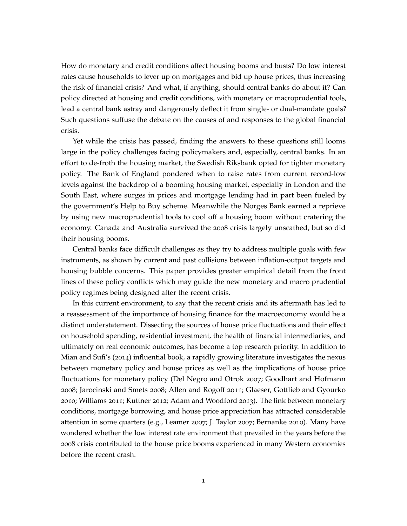How do monetary and credit conditions affect housing booms and busts? Do low interest rates cause households to lever up on mortgages and bid up house prices, thus increasing the risk of financial crisis? And what, if anything, should central banks do about it? Can policy directed at housing and credit conditions, with monetary or macroprudential tools, lead a central bank astray and dangerously deflect it from single- or dual-mandate goals? Such questions suffuse the debate on the causes of and responses to the global financial crisis.

Yet while the crisis has passed, finding the answers to these questions still looms large in the policy challenges facing policymakers and, especially, central banks. In an effort to de-froth the housing market, the Swedish Riksbank opted for tighter monetary policy. The Bank of England pondered when to raise rates from current record-low levels against the backdrop of a booming housing market, especially in London and the South East, where surges in prices and mortgage lending had in part been fueled by the government's Help to Buy scheme. Meanwhile the Norges Bank earned a reprieve by using new macroprudential tools to cool off a housing boom without cratering the economy. Canada and Australia survived the 2008 crisis largely unscathed, but so did their housing booms.

Central banks face difficult challenges as they try to address multiple goals with few instruments, as shown by current and past collisions between inflation-output targets and housing bubble concerns. This paper provides greater empirical detail from the front lines of these policy conflicts which may guide the new monetary and macro prudential policy regimes being designed after the recent crisis.

In this current environment, to say that the recent crisis and its aftermath has led to a reassessment of the importance of housing finance for the macroeconomy would be a distinct understatement. Dissecting the sources of house price fluctuations and their effect on household spending, residential investment, the health of financial intermediaries, and ultimately on real economic outcomes, has become a top research priority. In addition to Mian and Sufi's (2014) influential book, a rapidly growing literature investigates the nexus between monetary policy and house prices as well as the implications of house price fluctuations for monetary policy (Del Negro and Otrok 2007; Goodhart and Hofmann 2008; Jarocinski and Smets 2008; Allen and Rogoff 2011; Glaeser, Gottlieb and Gyourko 2010; Williams 2011; Kuttner 2012; Adam and Woodford 2013). The link between monetary conditions, mortgage borrowing, and house price appreciation has attracted considerable attention in some quarters (e.g., Leamer 2007; J. Taylor 2007; Bernanke 2010). Many have wondered whether the low interest rate environment that prevailed in the years before the 2008 crisis contributed to the house price booms experienced in many Western economies before the recent crash.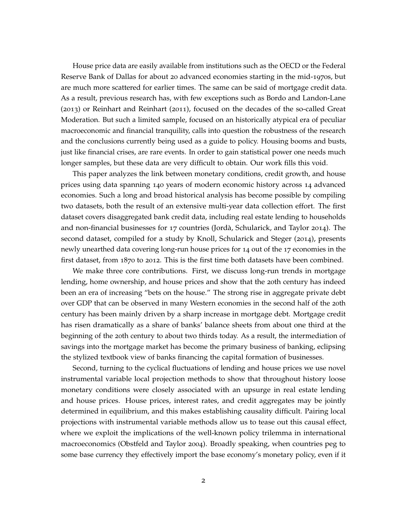House price data are easily available from institutions such as the OECD or the Federal Reserve Bank of Dallas for about 20 advanced economies starting in the mid-1970s, but are much more scattered for earlier times. The same can be said of mortgage credit data. As a result, previous research has, with few exceptions such as Bordo and Landon-Lane (2013) or Reinhart and Reinhart (2011), focused on the decades of the so-called Great Moderation. But such a limited sample, focused on an historically atypical era of peculiar macroeconomic and financial tranquility, calls into question the robustness of the research and the conclusions currently being used as a guide to policy. Housing booms and busts, just like financial crises, are rare events. In order to gain statistical power one needs much longer samples, but these data are very difficult to obtain. Our work fills this void.

This paper analyzes the link between monetary conditions, credit growth, and house prices using data spanning 140 years of modern economic history across 14 advanced economies. Such a long and broad historical analysis has become possible by compiling two datasets, both the result of an extensive multi-year data collection effort. The first dataset covers disaggregated bank credit data, including real estate lending to households and non-financial businesses for  $17$  countries (Jordà, Schularick, and Taylor  $2014$ ). The second dataset, compiled for a study by Knoll, Schularick and Steger (2014), presents newly unearthed data covering long-run house prices for 14 out of the 17 economies in the first dataset, from 1870 to 2012. This is the first time both datasets have been combined.

We make three core contributions. First, we discuss long-run trends in mortgage lending, home ownership, and house prices and show that the 20th century has indeed been an era of increasing "bets on the house." The strong rise in aggregate private debt over GDP that can be observed in many Western economies in the second half of the 20th century has been mainly driven by a sharp increase in mortgage debt. Mortgage credit has risen dramatically as a share of banks' balance sheets from about one third at the beginning of the 20th century to about two thirds today. As a result, the intermediation of savings into the mortgage market has become the primary business of banking, eclipsing the stylized textbook view of banks financing the capital formation of businesses.

Second, turning to the cyclical fluctuations of lending and house prices we use novel instrumental variable local projection methods to show that throughout history loose monetary conditions were closely associated with an upsurge in real estate lending and house prices. House prices, interest rates, and credit aggregates may be jointly determined in equilibrium, and this makes establishing causality difficult. Pairing local projections with instrumental variable methods allow us to tease out this causal effect, where we exploit the implications of the well-known policy trilemma in international macroeconomics (Obstfeld and Taylor 2004). Broadly speaking, when countries peg to some base currency they effectively import the base economy's monetary policy, even if it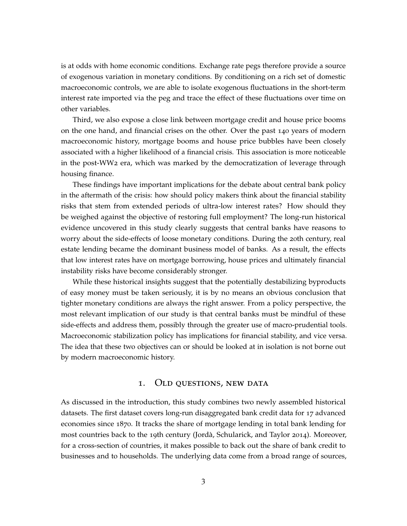is at odds with home economic conditions. Exchange rate pegs therefore provide a source of exogenous variation in monetary conditions. By conditioning on a rich set of domestic macroeconomic controls, we are able to isolate exogenous fluctuations in the short-term interest rate imported via the peg and trace the effect of these fluctuations over time on other variables.

Third, we also expose a close link between mortgage credit and house price booms on the one hand, and financial crises on the other. Over the past 140 years of modern macroeconomic history, mortgage booms and house price bubbles have been closely associated with a higher likelihood of a financial crisis. This association is more noticeable in the post-WW2 era, which was marked by the democratization of leverage through housing finance.

These findings have important implications for the debate about central bank policy in the aftermath of the crisis: how should policy makers think about the financial stability risks that stem from extended periods of ultra-low interest rates? How should they be weighed against the objective of restoring full employment? The long-run historical evidence uncovered in this study clearly suggests that central banks have reasons to worry about the side-effects of loose monetary conditions. During the 20th century, real estate lending became the dominant business model of banks. As a result, the effects that low interest rates have on mortgage borrowing, house prices and ultimately financial instability risks have become considerably stronger.

While these historical insights suggest that the potentially destabilizing byproducts of easy money must be taken seriously, it is by no means an obvious conclusion that tighter monetary conditions are always the right answer. From a policy perspective, the most relevant implication of our study is that central banks must be mindful of these side-effects and address them, possibly through the greater use of macro-prudential tools. Macroeconomic stabilization policy has implications for financial stability, and vice versa. The idea that these two objectives can or should be looked at in isolation is not borne out by modern macroeconomic history.

## 1. Old questions, new data

As discussed in the introduction, this study combines two newly assembled historical datasets. The first dataset covers long-run disaggregated bank credit data for 17 advanced economies since 1870. It tracks the share of mortgage lending in total bank lending for most countries back to the 19th century (Jordà, Schularick, and Taylor 2014). Moreover, for a cross-section of countries, it makes possible to back out the share of bank credit to businesses and to households. The underlying data come from a broad range of sources,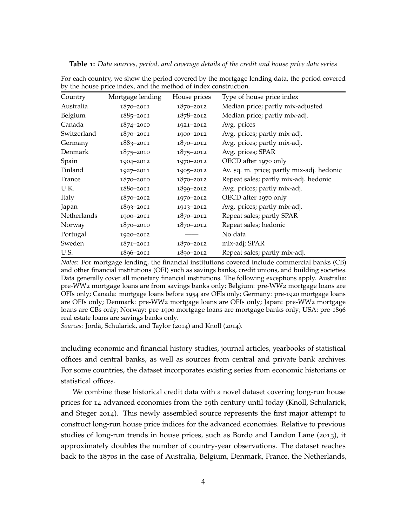<span id="page-5-0"></span>**Table 1:** *Data sources, period, and coverage details of the credit and house price data series*

| Country     | Mortgage lending | House prices  | Type of house price index                 |
|-------------|------------------|---------------|-------------------------------------------|
| Australia   | $1870 - 2011$    | $1870 - 2012$ | Median price; partly mix-adjusted         |
| Belgium     | 1885-2011        | 1878-2012     | Median price; partly mix-adj.             |
| Canada      | $1874 - 2010$    | 1921-2012     | Avg. prices                               |
| Switzerland | $1870 - 2011$    | 1900-2012     | Avg. prices; partly mix-adj.              |
| Germany     | 1883-2011        | 1870-2012     | Avg. prices; partly mix-adj.              |
| Denmark     | 1875-2010        | $1875 - 2012$ | Avg. prices; SPAR                         |
| Spain       | 1904-2012        | 1970-2012     | OECD after 1970 only                      |
| Finland     | 1927-2011        | 1905-2012     | Av. sq. m. price; partly mix-adj. hedonic |
| France      | 1870-2010        | 1870-2012     | Repeat sales; partly mix-adj. hedonic     |
| U.K.        | 1880-2011        | 1899-2012     | Avg. prices; partly mix-adj.              |
| Italy       | $1870 - 2012$    | 1970-2012     | OECD after 1970 only                      |
| Japan       | 1893-2011        | 1913-2012     | Avg. prices; partly mix-adj.              |
| Netherlands | 1900-2011        | 1870-2012     | Repeat sales; partly SPAR                 |
| Norway      | 1870-2010        | 1870-2012     | Repeat sales; hedonic                     |
| Portugal    | 1920-2012        |               | No data                                   |
| Sweden      | $1871 - 2011$    | 1870-2012     | mix-adj; SPAR                             |
| U.S.        | 1896-2011        | 1890-2012     | Repeat sales; partly mix-adj.             |

For each country, we show the period covered by the mortgage lending data, the period covered by the house price index, and the method of index construction.

*Notes*: For mortgage lending, the financial institutions covered include commercial banks (CB) and other financial institutions (OFI) such as savings banks, credit unions, and building societies. Data generally cover all monetary financial institutions. The following exceptions apply. Australia: pre-WW2 mortgage loans are from savings banks only; Belgium: pre-WW2 mortgage loans are OFIs only; Canada: mortgage loans before 1954 are OFIs only; Germany: pre-1920 mortgage loans are OFIs only; Denmark: pre-WW2 mortgage loans are OFIs only; Japan: pre-WW2 mortgage loans are CBs only; Norway: pre-1900 mortgage loans are mortgage banks only; USA: pre-1896 real estate loans are savings banks only.

*Sources*: Jordà, Schularick, and Taylor (2014) and Knoll (2014).

including economic and financial history studies, journal articles, yearbooks of statistical offices and central banks, as well as sources from central and private bank archives. For some countries, the dataset incorporates existing series from economic historians or statistical offices.

We combine these historical credit data with a novel dataset covering long-run house prices for 14 advanced economies from the 19th century until today (Knoll, Schularick, and Steger 2014). This newly assembled source represents the first major attempt to construct long-run house price indices for the advanced economies. Relative to previous studies of long-run trends in house prices, such as Bordo and Landon Lane (2013), it approximately doubles the number of country-year observations. The dataset reaches back to the 1870s in the case of Australia, Belgium, Denmark, France, the Netherlands,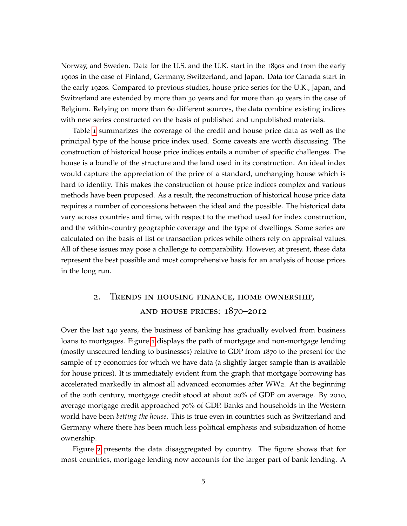Norway, and Sweden. Data for the U.S. and the U.K. start in the 1890s and from the early 1900s in the case of Finland, Germany, Switzerland, and Japan. Data for Canada start in the early 1920s. Compared to previous studies, house price series for the U.K., Japan, and Switzerland are extended by more than 30 years and for more than 40 years in the case of Belgium. Relying on more than 60 different sources, the data combine existing indices with new series constructed on the basis of published and unpublished materials.

Table [1](#page-5-0) summarizes the coverage of the credit and house price data as well as the principal type of the house price index used. Some caveats are worth discussing. The construction of historical house price indices entails a number of specific challenges. The house is a bundle of the structure and the land used in its construction. An ideal index would capture the appreciation of the price of a standard, unchanging house which is hard to identify. This makes the construction of house price indices complex and various methods have been proposed. As a result, the reconstruction of historical house price data requires a number of concessions between the ideal and the possible. The historical data vary across countries and time, with respect to the method used for index construction, and the within-country geographic coverage and the type of dwellings. Some series are calculated on the basis of list or transaction prices while others rely on appraisal values. All of these issues may pose a challenge to comparability. However, at present, these data represent the best possible and most comprehensive basis for an analysis of house prices in the long run.

# <span id="page-6-0"></span>2. Trends in housing finance, home ownership, and house prices: 1870–2012

Over the last 140 years, the business of banking has gradually evolved from business loans to mortgages. Figure [1](#page-7-0) displays the path of mortgage and non-mortgage lending (mostly unsecured lending to businesses) relative to GDP from 1870 to the present for the sample of 17 economies for which we have data (a slightly larger sample than is available for house prices). It is immediately evident from the graph that mortgage borrowing has accelerated markedly in almost all advanced economies after WW2. At the beginning of the 20th century, mortgage credit stood at about 20% of GDP on average. By 2010, average mortgage credit approached 70% of GDP. Banks and households in the Western world have been *betting the house*. This is true even in countries such as Switzerland and Germany where there has been much less political emphasis and subsidization of home ownership.

Figure [2](#page-8-0) presents the data disaggregated by country. The figure shows that for most countries, mortgage lending now accounts for the larger part of bank lending. A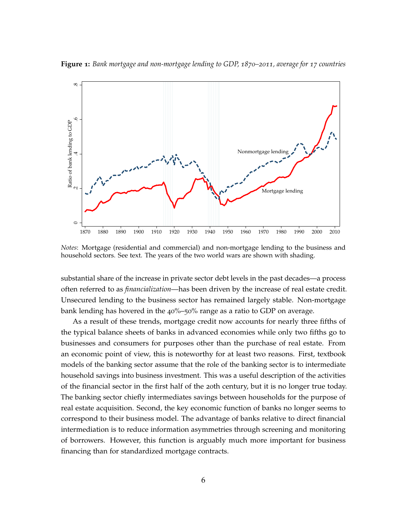<span id="page-7-0"></span>



*Notes*: Mortgage (residential and commercial) and non-mortgage lending to the business and household sectors. See text. The years of the two world wars are shown with shading.

substantial share of the increase in private sector debt levels in the past decades—a process often referred to as *financialization*—has been driven by the increase of real estate credit. Unsecured lending to the business sector has remained largely stable. Non-mortgage bank lending has hovered in the 40%–50% range as a ratio to GDP on average.

As a result of these trends, mortgage credit now accounts for nearly three fifths of the typical balance sheets of banks in advanced economies while only two fifths go to businesses and consumers for purposes other than the purchase of real estate. From an economic point of view, this is noteworthy for at least two reasons. First, textbook models of the banking sector assume that the role of the banking sector is to intermediate household savings into business investment. This was a useful description of the activities of the financial sector in the first half of the 20th century, but it is no longer true today. The banking sector chiefly intermediates savings between households for the purpose of real estate acquisition. Second, the key economic function of banks no longer seems to correspond to their business model. The advantage of banks relative to direct financial intermediation is to reduce information asymmetries through screening and monitoring of borrowers. However, this function is arguably much more important for business financing than for standardized mortgage contracts.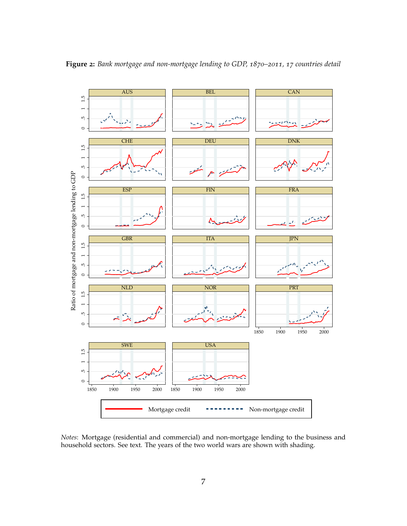

<span id="page-8-0"></span>**Figure 2:** *Bank mortgage and non-mortgage lending to GDP, 1870–2011, 17 countries detail*

*Notes*: Mortgage (residential and commercial) and non-mortgage lending to the business and household sectors. See text. The years of the two world wars are shown with shading.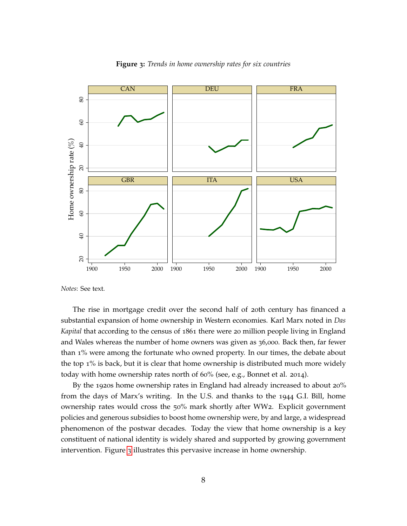<span id="page-9-0"></span>

**Figure 3:** *Trends in home ownership rates for six countries*

*Notes*: See text.

The rise in mortgage credit over the second half of 20th century has financed a substantial expansion of home ownership in Western economies. Karl Marx noted in *Das Kapital* that according to the census of 1861 there were 20 million people living in England and Wales whereas the number of home owners was given as 36,000. Back then, far fewer than 1% were among the fortunate who owned property. In our times, the debate about the top 1% is back, but it is clear that home ownership is distributed much more widely today with home ownership rates north of 60% (see, e.g., Bonnet et al. 2014).

By the 1920s home ownership rates in England had already increased to about 20% from the days of Marx's writing. In the U.S. and thanks to the 1944 G.I. Bill, home ownership rates would cross the 50% mark shortly after WW2. Explicit government policies and generous subsidies to boost home ownership were, by and large, a widespread phenomenon of the postwar decades. Today the view that home ownership is a key constituent of national identity is widely shared and supported by growing government intervention. Figure [3](#page-9-0) illustrates this pervasive increase in home ownership.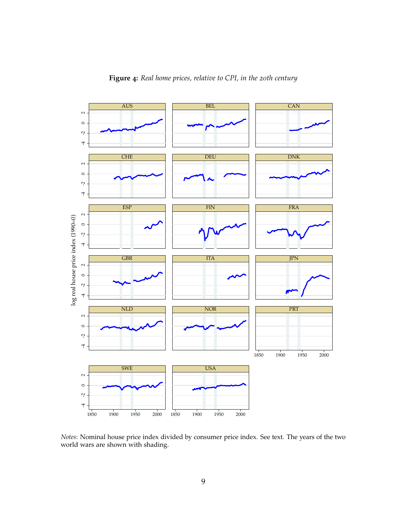<span id="page-10-0"></span>

*Notes*: Nominal house price index divided by consumer price index. See text. The years of the two world wars are shown with shading.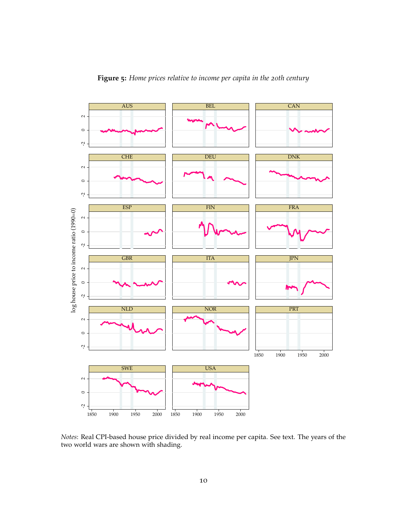<span id="page-11-0"></span>

**Figure 5:** *Home prices relative to income per capita in the 20th century*

*Notes*: Real CPI-based house price divided by real income per capita. See text. The years of the two world wars are shown with shading.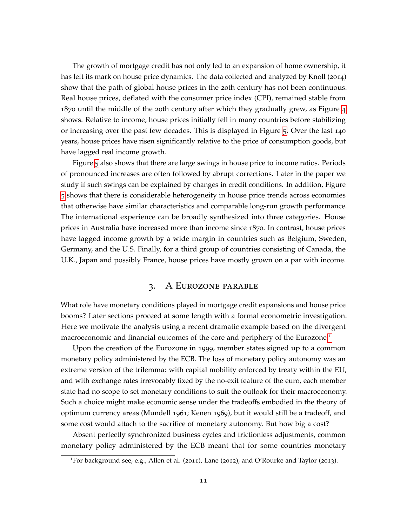The growth of mortgage credit has not only led to an expansion of home ownership, it has left its mark on house price dynamics. The data collected and analyzed by Knoll (2014) show that the path of global house prices in the 20th century has not been continuous. Real house prices, deflated with the consumer price index (CPI), remained stable from 1870 until the middle of the 20th century after which they gradually grew, as Figure [4](#page-10-0) shows. Relative to income, house prices initially fell in many countries before stabilizing or increasing over the past few decades. This is displayed in Figure [5](#page-11-0). Over the last 140 years, house prices have risen significantly relative to the price of consumption goods, but have lagged real income growth.

Figure [5](#page-11-0) also shows that there are large swings in house price to income ratios. Periods of pronounced increases are often followed by abrupt corrections. Later in the paper we study if such swings can be explained by changes in credit conditions. In addition, Figure [5](#page-11-0) shows that there is considerable heterogeneity in house price trends across economies that otherwise have similar characteristics and comparable long-run growth performance. The international experience can be broadly synthesized into three categories. House prices in Australia have increased more than income since 1870. In contrast, house prices have lagged income growth by a wide margin in countries such as Belgium, Sweden, Germany, and the U.S. Finally, for a third group of countries consisting of Canada, the U.K., Japan and possibly France, house prices have mostly grown on a par with income.

# 3. A Eurozone parable

<span id="page-12-1"></span>What role have monetary conditions played in mortgage credit expansions and house price booms? Later sections proceed at some length with a formal econometric investigation. Here we motivate the analysis using a recent dramatic example based on the divergent macroeconomic and financial outcomes of the core and periphery of the Eurozone.<sup>[1](#page-12-0)</sup>

Upon the creation of the Eurozone in 1999, member states signed up to a common monetary policy administered by the ECB. The loss of monetary policy autonomy was an extreme version of the trilemma: with capital mobility enforced by treaty within the EU, and with exchange rates irrevocably fixed by the no-exit feature of the euro, each member state had no scope to set monetary conditions to suit the outlook for their macroeconomy. Such a choice might make economic sense under the tradeoffs embodied in the theory of optimum currency areas (Mundell 1961; Kenen 1969), but it would still be a tradeoff, and some cost would attach to the sacrifice of monetary autonomy. But how big a cost?

Absent perfectly synchronized business cycles and frictionless adjustments, common monetary policy administered by the ECB meant that for some countries monetary

<span id="page-12-0"></span><sup>1</sup>For background see, e.g., Allen et al. (2011), Lane (2012), and O'Rourke and Taylor (2013).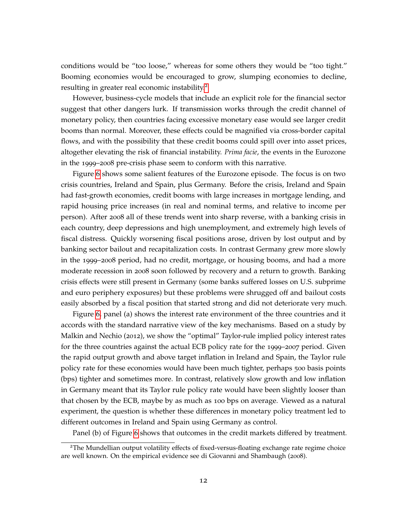conditions would be "too loose," whereas for some others they would be "too tight." Booming economies would be encouraged to grow, slumping economies to decline, resulting in greater real economic instability.<sup>[2](#page-13-0)</sup>

However, business-cycle models that include an explicit role for the financial sector suggest that other dangers lurk. If transmission works through the credit channel of monetary policy, then countries facing excessive monetary ease would see larger credit booms than normal. Moreover, these effects could be magnified via cross-border capital flows, and with the possibility that these credit booms could spill over into asset prices, altogether elevating the risk of financial instability. *Prima facie*, the events in the Eurozone in the 1999–2008 pre-crisis phase seem to conform with this narrative.

Figure [6](#page-14-0) shows some salient features of the Eurozone episode. The focus is on two crisis countries, Ireland and Spain, plus Germany. Before the crisis, Ireland and Spain had fast-growth economies, credit booms with large increases in mortgage lending, and rapid housing price increases (in real and nominal terms, and relative to income per person). After 2008 all of these trends went into sharp reverse, with a banking crisis in each country, deep depressions and high unemployment, and extremely high levels of fiscal distress. Quickly worsening fiscal positions arose, driven by lost output and by banking sector bailout and recapitalization costs. In contrast Germany grew more slowly in the 1999–2008 period, had no credit, mortgage, or housing booms, and had a more moderate recession in 2008 soon followed by recovery and a return to growth. Banking crisis effects were still present in Germany (some banks suffered losses on U.S. subprime and euro periphery exposures) but these problems were shrugged off and bailout costs easily absorbed by a fiscal position that started strong and did not deteriorate very much.

Figure [6](#page-14-0), panel (a) shows the interest rate environment of the three countries and it accords with the standard narrative view of the key mechanisms. Based on a study by Malkin and Nechio (2012), we show the "optimal" Taylor-rule implied policy interest rates for the three countries against the actual ECB policy rate for the 1999–2007 period. Given the rapid output growth and above target inflation in Ireland and Spain, the Taylor rule policy rate for these economies would have been much tighter, perhaps 500 basis points (bps) tighter and sometimes more. In contrast, relatively slow growth and low inflation in Germany meant that its Taylor rule policy rate would have been slightly looser than that chosen by the ECB, maybe by as much as 100 bps on average. Viewed as a natural experiment, the question is whether these differences in monetary policy treatment led to different outcomes in Ireland and Spain using Germany as control.

<span id="page-13-0"></span>Panel (b) of Figure [6](#page-14-0) shows that outcomes in the credit markets differed by treatment.

<sup>2</sup>The Mundellian output volatility effects of fixed-versus-floating exchange rate regime choice are well known. On the empirical evidence see di Giovanni and Shambaugh (2008).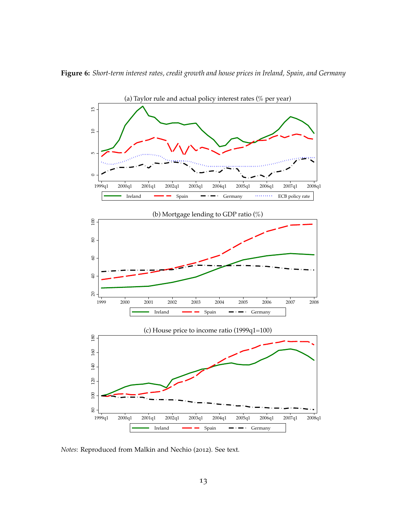<span id="page-14-0"></span>



*Notes*: Reproduced from Malkin and Nechio (2012). See text.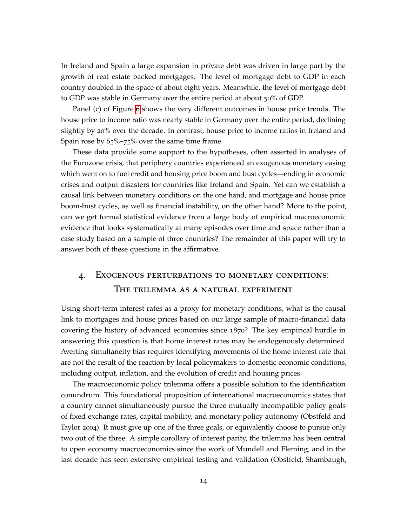In Ireland and Spain a large expansion in private debt was driven in large part by the growth of real estate backed mortgages. The level of mortgage debt to GDP in each country doubled in the space of about eight years. Meanwhile, the level of mortgage debt to GDP was stable in Germany over the entire period at about 50% of GDP.

Panel (c) of Figure [6](#page-14-0) shows the very different outcomes in house price trends. The house price to income ratio was nearly stable in Germany over the entire period, declining slightly by 20% over the decade. In contrast, house price to income ratios in Ireland and Spain rose by  $65\% - 75\%$  over the same time frame.

These data provide some support to the hypotheses, often asserted in analyses of the Eurozone crisis, that periphery countries experienced an exogenous monetary easing which went on to fuel credit and housing price boom and bust cycles—ending in economic crises and output disasters for countries like Ireland and Spain. Yet can we establish a causal link between monetary conditions on the one hand, and mortgage and house price boom-bust cycles, as well as financial instability, on the other hand? More to the point, can we get formal statistical evidence from a large body of empirical macroeconomic evidence that looks systematically at many episodes over time and space rather than a case study based on a sample of three countries? The remainder of this paper will try to answer both of these questions in the affirmative.

# <span id="page-15-0"></span>4. Exogenous perturbations to monetary conditions: The trilemma as a natural experiment

Using short-term interest rates as a proxy for monetary conditions, what is the causal link to mortgages and house prices based on our large sample of macro-financial data covering the history of advanced economies since 1870? The key empirical hurdle in answering this question is that home interest rates may be endogenously determined. Averting simultaneity bias requires identifying movements of the home interest rate that are not the result of the reaction by local policymakers to domestic economic conditions, including output, inflation, and the evolution of credit and housing prices.

The macroeconomic policy trilemma offers a possible solution to the identification conundrum. This foundational proposition of international macroeconomics states that a country cannot simultaneously pursue the three mutually incompatible policy goals of fixed exchange rates, capital mobility, and monetary policy autonomy (Obstfeld and Taylor 2004). It must give up one of the three goals, or equivalently choose to pursue only two out of the three. A simple corollary of interest parity, the trilemma has been central to open economy macroeconomics since the work of Mundell and Fleming, and in the last decade has seen extensive empirical testing and validation (Obstfeld, Shambaugh,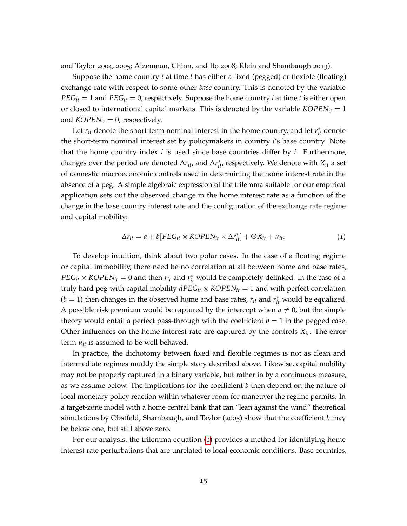and Taylor 2004, 2005; Aizenman, Chinn, and Ito 2008; Klein and Shambaugh 2013).

Suppose the home country *i* at time *t* has either a fixed (pegged) or flexible (floating) exchange rate with respect to some other *base* country. This is denoted by the variable  $PEG_{it} = 1$  and  $PEG_{it} = 0$ , respectively. Suppose the home country *i* at time *t* is either open or closed to international capital markets. This is denoted by the variable  $KOPEN_{it} = 1$ and  $KOPEN_{it} = 0$ , respectively.

Let  $r_{it}$  denote the short-term nominal interest in the home country, and let  $r_{it}^*$  denote the short-term nominal interest set by policymakers in country *i*'s base country. Note that the home country index *i* is used since base countries differ by *i*. Furthermore, changes over the period are denoted  $\Delta r_{it}$ , and  $\Delta r_{it}^*$ , respectively. We denote with  $X_{it}$  a set of domestic macroeconomic controls used in determining the home interest rate in the absence of a peg. A simple algebraic expression of the trilemma suitable for our empirical application sets out the observed change in the home interest rate as a function of the change in the base country interest rate and the configuration of the exchange rate regime and capital mobility:

<span id="page-16-0"></span>
$$
\Delta r_{it} = a + b[PEG_{it} \times KOPEN_{it} \times \Delta r_{it}^*] + \Theta X_{it} + u_{it}.
$$
\n(1)

To develop intuition, think about two polar cases. In the case of a floating regime or capital immobility, there need be no correlation at all between home and base rates,  $PEG_{it} \times KOPEN_{it} = 0$  and then  $r_{it}$  and  $r_{it}^*$  would be completely delinked. In the case of a truly hard peg with capital mobility  $dPEC_{it} \times KOPEN_{it} = 1$  and with perfect correlation  $(b = 1)$  then changes in the observed home and base rates,  $r_{it}$  and  $r_{it}^*$  would be equalized. A possible risk premium would be captured by the intercept when  $a \neq 0$ , but the simple theory would entail a perfect pass-through with the coefficient  $b = 1$  in the pegged case. Other influences on the home interest rate are captured by the controls *Xit*. The error term  $u_{it}$  is assumed to be well behaved.

In practice, the dichotomy between fixed and flexible regimes is not as clean and intermediate regimes muddy the simple story described above. Likewise, capital mobility may not be properly captured in a binary variable, but rather in by a continuous measure, as we assume below. The implications for the coefficient *b* then depend on the nature of local monetary policy reaction within whatever room for maneuver the regime permits. In a target-zone model with a home central bank that can "lean against the wind" theoretical simulations by Obstfeld, Shambaugh, and Taylor (2005) show that the coefficient *b* may be below one, but still above zero.

For our analysis, the trilemma equation ([1](#page-16-0)) provides a method for identifying home interest rate perturbations that are unrelated to local economic conditions. Base countries,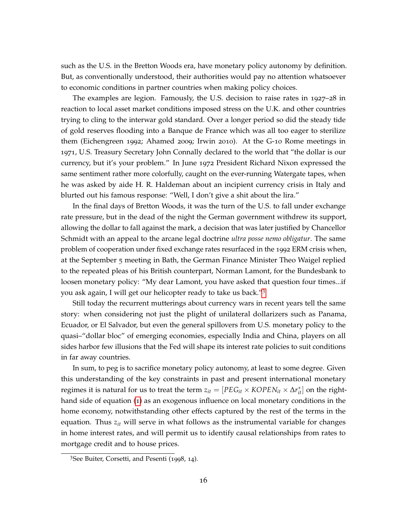such as the U.S. in the Bretton Woods era, have monetary policy autonomy by definition. But, as conventionally understood, their authorities would pay no attention whatsoever to economic conditions in partner countries when making policy choices.

The examples are legion. Famously, the U.S. decision to raise rates in 1927–28 in reaction to local asset market conditions imposed stress on the U.K. and other countries trying to cling to the interwar gold standard. Over a longer period so did the steady tide of gold reserves flooding into a Banque de France which was all too eager to sterilize them (Eichengreen 1992; Ahamed 2009; Irwin 2010). At the G-10 Rome meetings in 1971, U.S. Treasury Secretary John Connally declared to the world that "the dollar is our currency, but it's your problem." In June 1972 President Richard Nixon expressed the same sentiment rather more colorfully, caught on the ever-running Watergate tapes, when he was asked by aide H. R. Haldeman about an incipient currency crisis in Italy and blurted out his famous response: "Well, I don't give a shit about the lira."

In the final days of Bretton Woods, it was the turn of the U.S. to fall under exchange rate pressure, but in the dead of the night the German government withdrew its support, allowing the dollar to fall against the mark, a decision that was later justified by Chancellor Schmidt with an appeal to the arcane legal doctrine *ultra posse nemo obligatur*. The same problem of cooperation under fixed exchange rates resurfaced in the 1992 ERM crisis when, at the September 5 meeting in Bath, the German Finance Minister Theo Waigel replied to the repeated pleas of his British counterpart, Norman Lamont, for the Bundesbank to loosen monetary policy: "My dear Lamont, you have asked that question four times...if you ask again, I will get our helicopter ready to take us back."[3](#page-17-0)

Still today the recurrent mutterings about currency wars in recent years tell the same story: when considering not just the plight of unilateral dollarizers such as Panama, Ecuador, or El Salvador, but even the general spillovers from U.S. monetary policy to the quasi–"dollar bloc" of emerging economies, especially India and China, players on all sides harbor few illusions that the Fed will shape its interest rate policies to suit conditions in far away countries.

In sum, to peg is to sacrifice monetary policy autonomy, at least to some degree. Given this understanding of the key constraints in past and present international monetary regimes it is natural for us to treat the term  $z_{it} = [PEG_{it} \times KOPEN_{it} \times \Delta r_{it}^*]$  on the righthand side of equation ([1](#page-16-0)) as an exogenous influence on local monetary conditions in the home economy, notwithstanding other effects captured by the rest of the terms in the equation. Thus *zit* will serve in what follows as the instrumental variable for changes in home interest rates, and will permit us to identify causal relationships from rates to mortgage credit and to house prices.

<span id="page-17-0"></span><sup>3</sup>See Buiter, Corsetti, and Pesenti (1998, 14).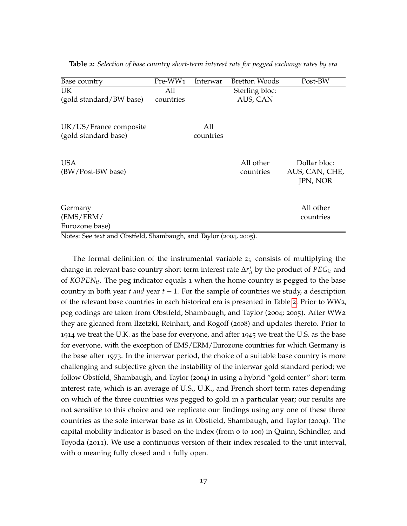| Base country                                   | Pre-WW <sub>1</sub> | Interwar         | <b>Bretton Woods</b>   | Post-BW                                    |
|------------------------------------------------|---------------------|------------------|------------------------|--------------------------------------------|
| UK                                             | All                 |                  | Sterling bloc:         |                                            |
| (gold standard/BW base)                        | countries           |                  | AUS, CAN               |                                            |
| UK/US/France composite<br>(gold standard base) |                     | All<br>countries |                        |                                            |
| <b>USA</b><br>(BW/Post-BW base)                |                     |                  | All other<br>countries | Dollar bloc:<br>AUS, CAN, CHE,<br>JPN, NOR |
| Germany<br>(EMS/ERM/<br>Eurozone base)         |                     |                  |                        | All other<br>countries                     |

<span id="page-18-0"></span>**Table 2:** *Selection of base country short-term interest rate for pegged exchange rates by era*

Notes: See text and Obstfeld, Shambaugh, and Taylor (2004, 2005).

The formal definition of the instrumental variable *zit* consists of multiplying the change in relevant base country short-term interest rate  $\Delta r_{it}^*$  by the product of  $PEG_{it}$  and of *KOPENit*. The peg indicator equals 1 when the home country is pegged to the base country in both year *t and* year *t* − 1. For the sample of countries we study, a description of the relevant base countries in each historical era is presented in Table [2](#page-18-0). Prior to WW2, peg codings are taken from Obstfeld, Shambaugh, and Taylor (2004; 2005). After WW2 they are gleaned from Ilzetzki, Reinhart, and Rogoff (2008) and updates thereto. Prior to 1914 we treat the U.K. as the base for everyone, and after 1945 we treat the U.S. as the base for everyone, with the exception of EMS/ERM/Eurozone countries for which Germany is the base after 1973. In the interwar period, the choice of a suitable base country is more challenging and subjective given the instability of the interwar gold standard period; we follow Obstfeld, Shambaugh, and Taylor (2004) in using a hybrid "gold center" short-term interest rate, which is an average of U.S., U.K., and French short term rates depending on which of the three countries was pegged to gold in a particular year; our results are not sensitive to this choice and we replicate our findings using any one of these three countries as the sole interwar base as in Obstfeld, Shambaugh, and Taylor (2004). The capital mobility indicator is based on the index (from 0 to 100) in Quinn, Schindler, and Toyoda (2011). We use a continuous version of their index rescaled to the unit interval, with o meaning fully closed and 1 fully open.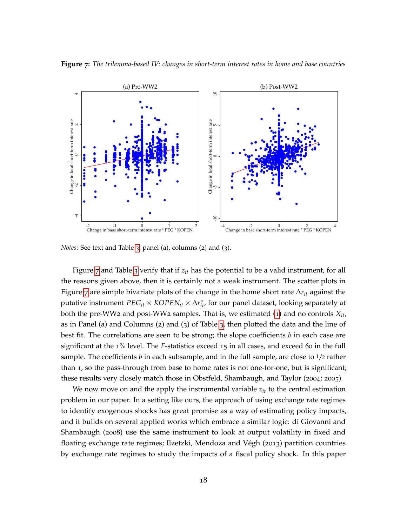

<span id="page-19-0"></span>**Figure 7:** *The trilemma-based IV: changes in short-term interest rates in home and base countries*

*Notes*: See text and Table [3](#page-20-0), panel (a), columns (2) and (3).

Figure [7](#page-19-0) and Table [3](#page-20-0) verify that if  $z_i$  has the potential to be a valid instrument, for all the reasons given above, then it is certainly not a weak instrument. The scatter plots in Figure [7](#page-19-0) are simple bivariate plots of the change in the home short rate ∆*rit* against the putative instrument  $PEG_{it} \times KOPEN_{it} \times \Delta r_{it'}^*$  for our panel dataset, looking separately at both the pre-WW2 and post-WW2 samples. That is, we estimated ([1](#page-16-0)) and no controls *Xit*, as in Panel (a) and Columns (2) and (3) of Table [3](#page-20-0), then plotted the data and the line of best fit. The correlations are seen to be strong; the slope coefficients *b* in each case are significant at the 1% level. The *F*-statistics exceed 15 in all cases, and exceed 60 in the full sample. The coefficients *b* in each subsample, and in the full sample, are close to 1/2 rather than 1, so the pass-through from base to home rates is not one-for-one, but is significant; these results very closely match those in Obstfeld, Shambaugh, and Taylor (2004; 2005).

We now move on and the apply the instrumental variable  $z_{it}$  to the central estimation problem in our paper. In a setting like ours, the approach of using exchange rate regimes to identify exogenous shocks has great promise as a way of estimating policy impacts, and it builds on several applied works which embrace a similar logic: di Giovanni and Shambaugh (2008) use the same instrument to look at output volatility in fixed and floating exchange rate regimes; Ilzetzki, Mendoza and Végh (2013) partition countries by exchange rate regimes to study the impacts of a fiscal policy shock. In this paper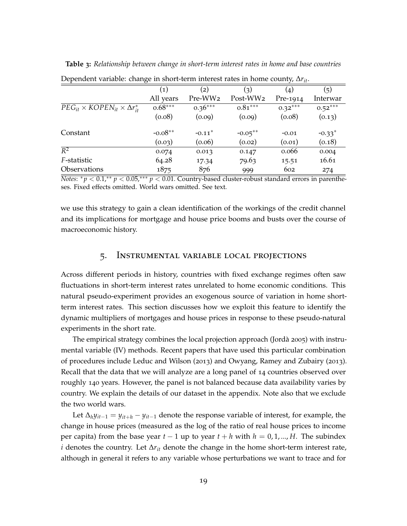|                                                     | ◡          |                      |                      | <u>.</u>  |                      |
|-----------------------------------------------------|------------|----------------------|----------------------|-----------|----------------------|
|                                                     | (1)        | $\left( 2\right)$    | (3)                  | (4)       | (5)                  |
|                                                     | All years  | Pre-WW2              | Post-WW <sub>2</sub> | Pre-1914  | Interwar             |
| $PEG_{it} \times KOPEN_{it} \times \Delta r_{it}^*$ | $0.68***$  | $0.36***$            | $0.81***$            | $0.32***$ | $0.52***$            |
|                                                     | (0.08)     | (0.09)               | (0.09)               | (0.08)    | (0.13)               |
| Constant                                            | $-0.08***$ | $-0.11$ <sup>*</sup> | $-0.05***$           | $-0.01$   | $-0.33$ <sup>*</sup> |
|                                                     | (0.03)     | (0.06)               | (0.02)               | (0.01)    | (0.18)               |
| $\overline{R^2}$                                    | 0.074      | 0.013                | 0.147                | 0.066     | 0.004                |
| F-statistic                                         | 64.28      | 17.34                | 79.63                | 15.51     | 16.61                |
| Observations                                        | 1875       | 876                  | 999                  | 602       | 274                  |

<span id="page-20-0"></span>**Table 3:** *Relationship between change in short-term interest rates in home and base countries* Dependent variable: change in short-term interest rates in home county, ∆*rit*.

*Notes*: <sup>\*</sup>*p* < 0.1,<sup>\*\*</sup> *p* < 0.05,<sup>\*\*\*</sup> *p* < 0.01. Country-based cluster-robust standard errors in parentheses. Fixed effects omitted. World wars omitted. See text.

we use this strategy to gain a clean identification of the workings of the credit channel and its implications for mortgage and house price booms and busts over the course of macroeconomic history.

# 5. Instrumental variable local projections

Across different periods in history, countries with fixed exchange regimes often saw fluctuations in short-term interest rates unrelated to home economic conditions. This natural pseudo-experiment provides an exogenous source of variation in home shortterm interest rates. This section discusses how we exploit this feature to identify the dynamic multipliers of mortgages and house prices in response to these pseudo-natural experiments in the short rate.

The empirical strategy combines the local projection approach (Jorda` 2005) with instrumental variable (IV) methods. Recent papers that have used this particular combination of procedures include Leduc and Wilson (2013) and Owyang, Ramey and Zubairy (2013). Recall that the data that we will analyze are a long panel of 14 countries observed over roughly 140 years. However, the panel is not balanced because data availability varies by country. We explain the details of our dataset in the appendix. Note also that we exclude the two world wars.

Let  $\Delta_h y_{it-1} = y_{it+h} - y_{it-1}$  denote the response variable of interest, for example, the change in house prices (measured as the log of the ratio of real house prices to income per capita) from the base year  $t - 1$  up to year  $t + h$  with  $h = 0, 1, \dots, H$ . The subindex *i* denotes the country. Let ∆*rit* denote the change in the home short-term interest rate, although in general it refers to any variable whose perturbations we want to trace and for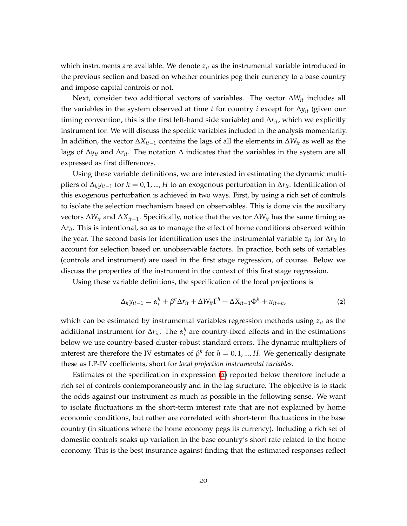which instruments are available. We denote *zit* as the instrumental variable introduced in the previous section and based on whether countries peg their currency to a base country and impose capital controls or not.

Next, consider two additional vectors of variables. The vector ∆*Wit* includes all the variables in the system observed at time *t* for country *i* except for ∆*yit* (given our timing convention, this is the first left-hand side variable) and ∆*rit*, which we explicitly instrument for. We will discuss the specific variables included in the analysis momentarily. In addition, the vector ∆*Xit*−<sup>1</sup> contains the lags of all the elements in ∆*Wit* as well as the lags of ∆*yit* and ∆*rit*. The notation ∆ indicates that the variables in the system are all expressed as first differences.

Using these variable definitions, we are interested in estimating the dynamic multipliers of ∆*hyit*−<sup>1</sup> for *h* = 0, 1, ..., *H* to an exogenous perturbation in ∆*rit*. Identification of this exogenous perturbation is achieved in two ways. First, by using a rich set of controls to isolate the selection mechanism based on observables. This is done via the auxiliary vectors ∆*Wit* and ∆*Xit*−1. Specifically, notice that the vector ∆*Wit* has the same timing as ∆*rit*. This is intentional, so as to manage the effect of home conditions observed within the year. The second basis for identification uses the instrumental variable  $z_{it}$  for  $\Delta r_{it}$  to account for selection based on unobservable factors. In practice, both sets of variables (controls and instrument) are used in the first stage regression, of course. Below we discuss the properties of the instrument in the context of this first stage regression.

Using these variable definitions, the specification of the local projections is

<span id="page-21-0"></span>
$$
\Delta_h y_{it-1} = \alpha_i^h + \beta^h \Delta r_{it} + \Delta W_{it} \Gamma^h + \Delta X_{it-1} \Phi^h + u_{it+h}, \tag{2}
$$

which can be estimated by instrumental variables regression methods using *zit* as the additional instrument for  $\Delta r_{it}$ . The  $\alpha_i^h$  are country-fixed effects and in the estimations below we use country-based cluster-robust standard errors. The dynamic multipliers of interest are therefore the IV estimates of  $\beta^h$  for  $h = 0, 1, ..., H$ . We generically designate these as LP-IV coefficients, short for *local projection instrumental variables.*

Estimates of the specification in expression ([2](#page-21-0)) reported below therefore include a rich set of controls contemporaneously and in the lag structure. The objective is to stack the odds against our instrument as much as possible in the following sense. We want to isolate fluctuations in the short-term interest rate that are not explained by home economic conditions, but rather are correlated with short-term fluctuations in the base country (in situations where the home economy pegs its currency). Including a rich set of domestic controls soaks up variation in the base country's short rate related to the home economy. This is the best insurance against finding that the estimated responses reflect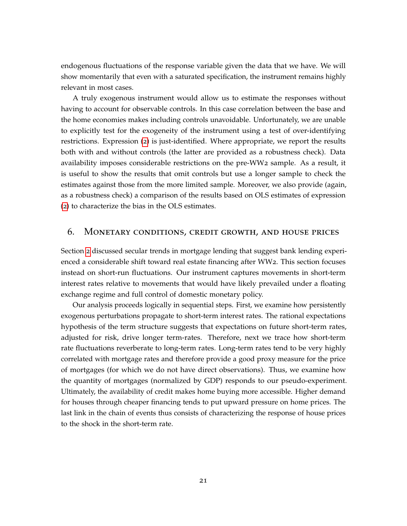endogenous fluctuations of the response variable given the data that we have. We will show momentarily that even with a saturated specification, the instrument remains highly relevant in most cases.

A truly exogenous instrument would allow us to estimate the responses without having to account for observable controls. In this case correlation between the base and the home economies makes including controls unavoidable. Unfortunately, we are unable to explicitly test for the exogeneity of the instrument using a test of over-identifying restrictions. Expression ([2](#page-21-0)) is just-identified. Where appropriate, we report the results both with and without controls (the latter are provided as a robustness check). Data availability imposes considerable restrictions on the pre-WW2 sample. As a result, it is useful to show the results that omit controls but use a longer sample to check the estimates against those from the more limited sample. Moreover, we also provide (again, as a robustness check) a comparison of the results based on OLS estimates of expression ([2](#page-21-0)) to characterize the bias in the OLS estimates.

#### <span id="page-22-0"></span>6. Monetary conditions, credit growth, and house prices

Section [2](#page-6-0) discussed secular trends in mortgage lending that suggest bank lending experienced a considerable shift toward real estate financing after WW2. This section focuses instead on short-run fluctuations. Our instrument captures movements in short-term interest rates relative to movements that would have likely prevailed under a floating exchange regime and full control of domestic monetary policy.

Our analysis proceeds logically in sequential steps. First, we examine how persistently exogenous perturbations propagate to short-term interest rates. The rational expectations hypothesis of the term structure suggests that expectations on future short-term rates, adjusted for risk, drive longer term-rates. Therefore, next we trace how short-term rate fluctuations reverberate to long-term rates. Long-term rates tend to be very highly correlated with mortgage rates and therefore provide a good proxy measure for the price of mortgages (for which we do not have direct observations). Thus, we examine how the quantity of mortgages (normalized by GDP) responds to our pseudo-experiment. Ultimately, the availability of credit makes home buying more accessible. Higher demand for houses through cheaper financing tends to put upward pressure on home prices. The last link in the chain of events thus consists of characterizing the response of house prices to the shock in the short-term rate.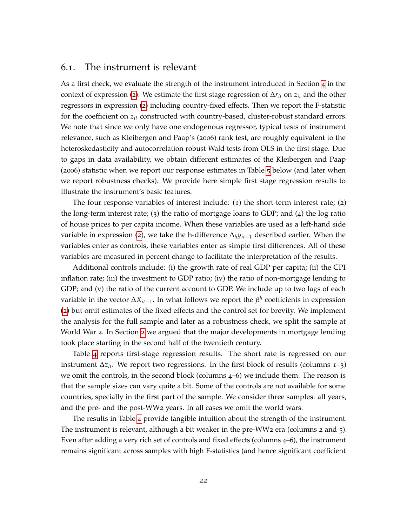## 6.1. The instrument is relevant

As a first check, we evaluate the strength of the instrument introduced in Section [4](#page-15-0) in the context of expression ([2](#page-21-0)). We estimate the first stage regression of ∆*rit* on *zit* and the other regressors in expression ([2](#page-21-0)) including country-fixed effects. Then we report the F-statistic for the coefficient on *zit* constructed with country-based, cluster-robust standard errors. We note that since we only have one endogenous regressor, typical tests of instrument relevance, such as Kleibergen and Paap's (2006) rank test, are roughly equivalent to the heteroskedasticity and autocorrelation robust Wald tests from OLS in the first stage. Due to gaps in data availability, we obtain different estimates of the Kleibergen and Paap (2006) statistic when we report our response estimates in Table [5](#page-25-0) below (and later when we report robustness checks). We provide here simple first stage regression results to illustrate the instrument's basic features.

The four response variables of interest include:  $(1)$  the short-term interest rate;  $(2)$ the long-term interest rate; (3) the ratio of mortgage loans to GDP; and (4) the log ratio of house prices to per capita income. When these variables are used as a left-hand side variable in expression ([2](#page-21-0)), we take the h-difference ∆*hyit*−<sup>1</sup> described earlier. When the variables enter as controls, these variables enter as simple first differences. All of these variables are measured in percent change to facilitate the interpretation of the results.

Additional controls include: (i) the growth rate of real GDP per capita; (ii) the CPI inflation rate; (iii) the investment to GDP ratio; (iv) the ratio of non-mortgage lending to GDP; and (v) the ratio of the current account to GDP. We include up to two lags of each variable in the vector ∆*Xit*−1. In what follows we report the *β h* coefficients in expression ([2](#page-21-0)) but omit estimates of the fixed effects and the control set for brevity. We implement the analysis for the full sample and later as a robustness check, we split the sample at World War 2. In Section [2](#page-6-0) we argued that the major developments in mortgage lending took place starting in the second half of the twentieth century.

Table [4](#page-24-0) reports first-stage regression results. The short rate is regressed on our instrument ∆*zit*. We report two regressions. In the first block of results (columns 1–3) we omit the controls, in the second block (columns 4–6) we include them. The reason is that the sample sizes can vary quite a bit. Some of the controls are not available for some countries, specially in the first part of the sample. We consider three samples: all years, and the pre- and the post-WW2 years. In all cases we omit the world wars.

The results in Table [4](#page-24-0) provide tangible intuition about the strength of the instrument. The instrument is relevant, although a bit weaker in the pre-WW2 era (columns 2 and 5). Even after adding a very rich set of controls and fixed effects (columns 4–6), the instrument remains significant across samples with high F-statistics (and hence significant coefficient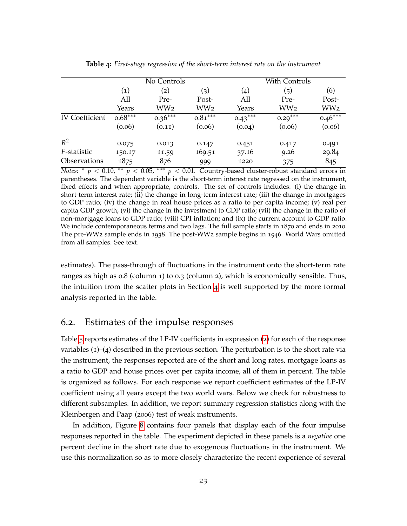<span id="page-24-0"></span>

|                       |                   | No Controls       |                 | With Controls |                 |           |  |
|-----------------------|-------------------|-------------------|-----------------|---------------|-----------------|-----------|--|
|                       | $\left( 1\right)$ | $\left( 2\right)$ | (3)             | (4)           | (5)             | (6)       |  |
|                       | All               | Pre-              | Post-           | All           | Pre-            | Post-     |  |
|                       | Years             | WW2               | WW <sub>2</sub> | Years         | WW <sub>2</sub> | WW2       |  |
| <b>IV</b> Coefficient | $0.68***$         | $0.36***$         | $0.81***$       | $0.43***$     | $0.29***$       | $0.46***$ |  |
|                       | (0.06)            | (0.11)            | (0.06)          | (0.04)        | (0.06)          | (0.06)    |  |
| $R^2$                 | 0.075             | 0.013             | 0.147           | 0.451         | 0.417           | 0.491     |  |
| <i>F</i> -statistic   | 150.17            | 11.59             | 169.51          | 37.16         | 9.26            | 29.84     |  |
| Observations          | 1875              | 876               | 999             | 1220          | 375             | 845       |  |

**Table 4:** *First-stage regression of the short-term interest rate on the instrument*

*Notes*: <sup>∗</sup> *p* < 0.10, ∗∗ *p* < 0.05, ∗∗∗ *p* < 0.01. Country-based cluster-robust standard errors in parentheses. The dependent variable is the short-term interest rate regressed on the instrument, fixed effects and when appropriate, controls. The set of controls includes: (i) the change in short-term interest rate; (ii) the change in long-term interest rate; (iii) the change in mortgages to GDP ratio; (iv) the change in real house prices as a ratio to per capita income; (v) real per capita GDP growth; (vi) the change in the investment to GDP ratio; (vii) the change in the ratio of non-mortgage loans to GDP ratio; (viii) CPI inflation; and (ix) the current account to GDP ratio. We include contemporaneous terms and two lags. The full sample starts in 1870 and ends in 2010. The pre-WW2 sample ends in 1938. The post-WW2 sample begins in 1946. World Wars omitted from all samples. See text.

estimates). The pass-through of fluctuations in the instrument onto the short-term rate ranges as high as 0.8 (column 1) to 0.3 (column 2), which is economically sensible. Thus, the intuition from the scatter plots in Section [4](#page-15-0) is well supported by the more formal analysis reported in the table.

# 6.2. Estimates of the impulse responses

Table [5](#page-25-0) reports estimates of the LP-IV coefficients in expression ([2](#page-21-0)) for each of the response variables (1)–(4) described in the previous section. The perturbation is to the short rate via the instrument, the responses reported are of the short and long rates, mortgage loans as a ratio to GDP and house prices over per capita income, all of them in percent. The table is organized as follows. For each response we report coefficient estimates of the LP-IV coefficient using all years except the two world wars. Below we check for robustness to different subsamples. In addition, we report summary regression statistics along with the Kleinbergen and Paap (2006) test of weak instruments.

In addition, Figure [8](#page-27-0) contains four panels that display each of the four impulse responses reported in the table. The experiment depicted in these panels is a *negative* one percent decline in the short rate due to exogenous fluctuations in the instrument. We use this normalization so as to more closely characterize the recent experience of several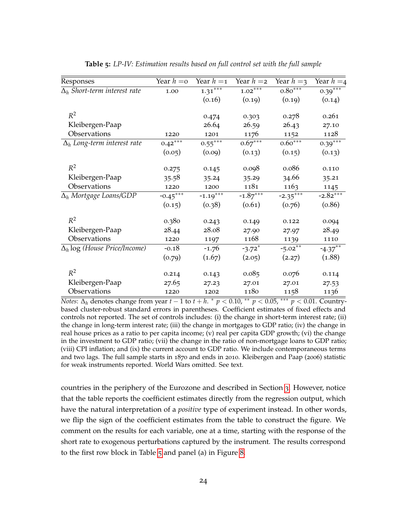<span id="page-25-0"></span>

| Responses                            | Year $h = o$ | Year $h = 1$ | Year $h = 2$         | Year $h = 3$ | Year $h = 4$ |
|--------------------------------------|--------------|--------------|----------------------|--------------|--------------|
| $\Delta_h$ Short-term interest rate  | 1.00         | $1.31***$    | $1.02***$            | $0.80***$    | $0.39***$    |
|                                      |              | (0.16)       | (0.19)               | (0.19)       | (0.14)       |
| $R^2$                                |              | 0.474        | 0.303                | 0.278        | 0.261        |
| Kleibergen-Paap                      |              | 26.64        | 26.59                | 26.43        | 27.10        |
| Observations                         | 1220         | 1201         | 1176                 | 1152         | 1128         |
| $\Delta_h$ Long-term interest rate   | $0.42***$    | $0.55***$    | $0.67***$            | $0.60$ ***   | $0.39***$    |
|                                      | (0.05)       | (0.09)       | (0.13)               | (0.15)       | (0.13)       |
| $R^2$                                | 0.275        | 0.145        | 0.098                | 0.086        | 0.110        |
| Kleibergen-Paap                      | 35.58        | 35.24        | 35.29                | 34.66        | 35.21        |
| Observations                         | 1220         | 1200         | 1181                 | 1163         | 1145         |
| $\Delta_h$ Mortgage Loans/GDP        | $-0.45***$   | $-1.19***$   | $-1.87***$           | $-2.35***$   | $-2.82***$   |
|                                      | (0.15)       | (0.38)       | (0.61)               | (0.76)       | (0.86)       |
| $R^2$                                | 0.380        | 0.243        | 0.149                | 0.122        | 0.094        |
| Kleibergen-Paap                      | 28.44        | 28.08        | 27.90                | 27.97        | 28.49        |
| Observations                         | 1220         | 1197         | 1168                 | 1139         | 1110         |
| $\Delta_h \log$ (House Price/Income) | $-0.18$      | $-1.76$      | $-3.72$ <sup>*</sup> | $-5.02***$   | $-4.37***$   |
|                                      | (0.79)       | (1.67)       | (2.05)               | (2.27)       | (1.88)       |
| $R^2$                                | 0.214        | 0.143        | 0.085                | 0.076        | 0.114        |
| Kleibergen-Paap                      | 27.65        | 27.23        | 27.01                | 27.01        | 27.53        |
| Observations                         | 1220         | 1202         | 1180                 | 1158         | 1136         |

**Table 5:** *LP-IV: Estimation results based on full control set with the full sample*

*Notes*: ∆*<sup>h</sup>* denotes change from year *t* − 1 to *t* + *h*. <sup>∗</sup> *p* < 0.10, ∗∗ *p* < 0.05, ∗∗∗ *p* < 0.01. Countrybased cluster-robust standard errors in parentheses. Coefficient estimates of fixed effects and controls not reported. The set of controls includes: (i) the change in short-term interest rate; (ii) the change in long-term interest rate; (iii) the change in mortgages to GDP ratio; (iv) the change in real house prices as a ratio to per capita income; (v) real per capita GDP growth; (vi) the change in the investment to GDP ratio; (vii) the change in the ratio of non-mortgage loans to GDP ratio; (viii) CPI inflation; and (ix) the current account to GDP ratio. We include contemporaneous terms and two lags. The full sample starts in 1870 and ends in 2010. Kleibergen and Paap (2006) statistic for weak instruments reported. World Wars omitted. See text.

countries in the periphery of the Eurozone and described in Section [3](#page-12-1). However, notice that the table reports the coefficient estimates directly from the regression output, which have the natural interpretation of a *positive* type of experiment instead. In other words, we flip the sign of the coefficient estimates from the table to construct the figure. We comment on the results for each variable, one at a time, starting with the response of the short rate to exogenous perturbations captured by the instrument. The results correspond to the first row block in Table [5](#page-25-0) and panel (a) in Figure [8](#page-27-0).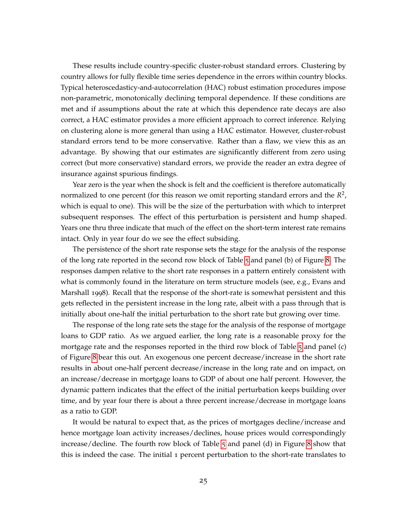These results include country-specific cluster-robust standard errors. Clustering by country allows for fully flexible time series dependence in the errors within country blocks. Typical heteroscedasticy-and-autocorrelation (HAC) robust estimation procedures impose non-parametric, monotonically declining temporal dependence. If these conditions are met and if assumptions about the rate at which this dependence rate decays are also correct, a HAC estimator provides a more efficient approach to correct inference. Relying on clustering alone is more general than using a HAC estimator. However, cluster-robust standard errors tend to be more conservative. Rather than a flaw, we view this as an advantage. By showing that our estimates are significantly different from zero using correct (but more conservative) standard errors, we provide the reader an extra degree of insurance against spurious findings.

Year zero is the year when the shock is felt and the coefficient is therefore automatically normalized to one percent (for this reason we omit reporting standard errors and the *R* 2 , which is equal to one). This will be the size of the perturbation with which to interpret subsequent responses. The effect of this perturbation is persistent and hump shaped. Years one thru three indicate that much of the effect on the short-term interest rate remains intact. Only in year four do we see the effect subsiding.

The persistence of the short rate response sets the stage for the analysis of the response of the long rate reported in the second row block of Table [5](#page-25-0) and panel (b) of Figure [8](#page-27-0). The responses dampen relative to the short rate responses in a pattern entirely consistent with what is commonly found in the literature on term structure models (see, e.g., Evans and Marshall 1998). Recall that the response of the short-rate is somewhat persistent and this gets reflected in the persistent increase in the long rate, albeit with a pass through that is initially about one-half the initial perturbation to the short rate but growing over time.

The response of the long rate sets the stage for the analysis of the response of mortgage loans to GDP ratio. As we argued earlier, the long rate is a reasonable proxy for the mortgage rate and the responses reported in the third row block of Table [5](#page-25-0) and panel (c) of Figure [8](#page-27-0) bear this out. An exogenous one percent decrease/increase in the short rate results in about one-half percent decrease/increase in the long rate and on impact, on an increase/decrease in mortgage loans to GDP of about one half percent. However, the dynamic pattern indicates that the effect of the initial perturbation keeps building over time, and by year four there is about a three percent increase/decrease in mortgage loans as a ratio to GDP.

It would be natural to expect that, as the prices of mortgages decline/increase and hence mortgage loan activity increases/declines, house prices would correspondingly increase/decline. The fourth row block of Table [5](#page-25-0) and panel (d) in Figure [8](#page-27-0) show that this is indeed the case. The initial 1 percent perturbation to the short-rate translates to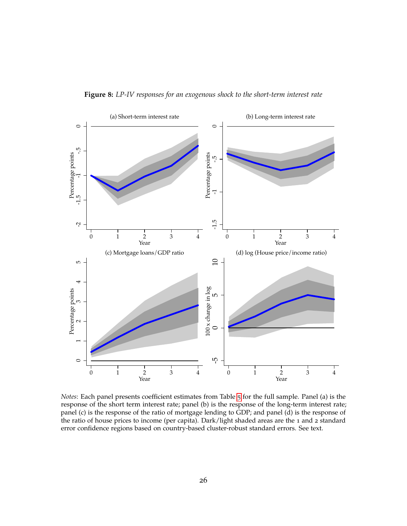<span id="page-27-0"></span>

**Figure 8:** *LP-IV responses for an exogenous shock to the short-term interest rate*

*Notes*: Each panel presents coefficient estimates from Table [5](#page-25-0) for the full sample. Panel (a) is the response of the short term interest rate; panel (b) is the response of the long-term interest rate; panel (c) is the response of the ratio of mortgage lending to GDP; and panel (d) is the response of the ratio of house prices to income (per capita). Dark/light shaded areas are the 1 and 2 standard error confidence regions based on country-based cluster-robust standard errors. See text.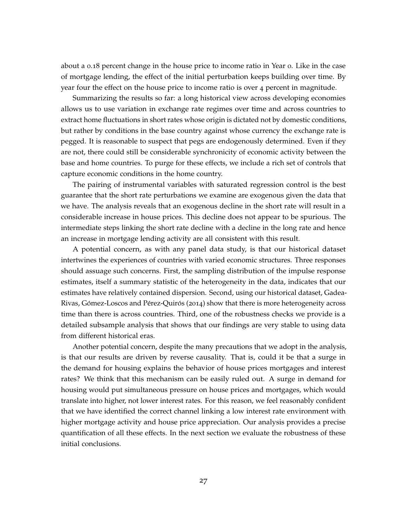about a 0.18 percent change in the house price to income ratio in Year 0. Like in the case of mortgage lending, the effect of the initial perturbation keeps building over time. By year four the effect on the house price to income ratio is over 4 percent in magnitude.

Summarizing the results so far: a long historical view across developing economies allows us to use variation in exchange rate regimes over time and across countries to extract home fluctuations in short rates whose origin is dictated not by domestic conditions, but rather by conditions in the base country against whose currency the exchange rate is pegged. It is reasonable to suspect that pegs are endogenously determined. Even if they are not, there could still be considerable synchronicity of economic activity between the base and home countries. To purge for these effects, we include a rich set of controls that capture economic conditions in the home country.

The pairing of instrumental variables with saturated regression control is the best guarantee that the short rate perturbations we examine are exogenous given the data that we have. The analysis reveals that an exogenous decline in the short rate will result in a considerable increase in house prices. This decline does not appear to be spurious. The intermediate steps linking the short rate decline with a decline in the long rate and hence an increase in mortgage lending activity are all consistent with this result.

A potential concern, as with any panel data study, is that our historical dataset intertwines the experiences of countries with varied economic structures. Three responses should assuage such concerns. First, the sampling distribution of the impulse response estimates, itself a summary statistic of the heterogeneity in the data, indicates that our estimates have relatively contained dispersion. Second, using our historical dataset, Gadea-Rivas, Gómez-Loscos and Pérez-Quirós (2014) show that there is more heterogeneity across time than there is across countries. Third, one of the robustness checks we provide is a detailed subsample analysis that shows that our findings are very stable to using data from different historical eras.

Another potential concern, despite the many precautions that we adopt in the analysis, is that our results are driven by reverse causality. That is, could it be that a surge in the demand for housing explains the behavior of house prices mortgages and interest rates? We think that this mechanism can be easily ruled out. A surge in demand for housing would put simultaneous pressure on house prices and mortgages, which would translate into higher, not lower interest rates. For this reason, we feel reasonably confident that we have identified the correct channel linking a low interest rate environment with higher mortgage activity and house price appreciation. Our analysis provides a precise quantification of all these effects. In the next section we evaluate the robustness of these initial conclusions.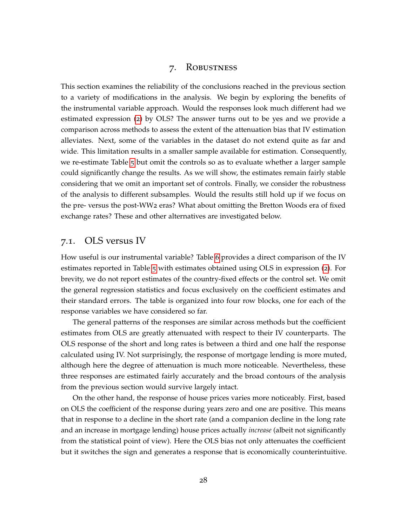## 7. Robustness

This section examines the reliability of the conclusions reached in the previous section to a variety of modifications in the analysis. We begin by exploring the benefits of the instrumental variable approach. Would the responses look much different had we estimated expression ([2](#page-21-0)) by OLS? The answer turns out to be yes and we provide a comparison across methods to assess the extent of the attenuation bias that IV estimation alleviates. Next, some of the variables in the dataset do not extend quite as far and wide. This limitation results in a smaller sample available for estimation. Consequently, we re-estimate Table [5](#page-25-0) but omit the controls so as to evaluate whether a larger sample could significantly change the results. As we will show, the estimates remain fairly stable considering that we omit an important set of controls. Finally, we consider the robustness of the analysis to different subsamples. Would the results still hold up if we focus on the pre- versus the post-WW2 eras? What about omitting the Bretton Woods era of fixed exchange rates? These and other alternatives are investigated below.

# 7.1. OLS versus IV

How useful is our instrumental variable? Table [6](#page-30-0) provides a direct comparison of the IV estimates reported in Table [5](#page-25-0) with estimates obtained using OLS in expression ([2](#page-21-0)). For brevity, we do not report estimates of the country-fixed effects or the control set. We omit the general regression statistics and focus exclusively on the coefficient estimates and their standard errors. The table is organized into four row blocks, one for each of the response variables we have considered so far.

The general patterns of the responses are similar across methods but the coefficient estimates from OLS are greatly attenuated with respect to their IV counterparts. The OLS response of the short and long rates is between a third and one half the response calculated using IV. Not surprisingly, the response of mortgage lending is more muted, although here the degree of attenuation is much more noticeable. Nevertheless, these three responses are estimated fairly accurately and the broad contours of the analysis from the previous section would survive largely intact.

On the other hand, the response of house prices varies more noticeably. First, based on OLS the coefficient of the response during years zero and one are positive. This means that in response to a decline in the short rate (and a companion decline in the long rate and an increase in mortgage lending) house prices actually *increase* (albeit not significantly from the statistical point of view). Here the OLS bias not only attenuates the coefficient but it switches the sign and generates a response that is economically counterintuitive.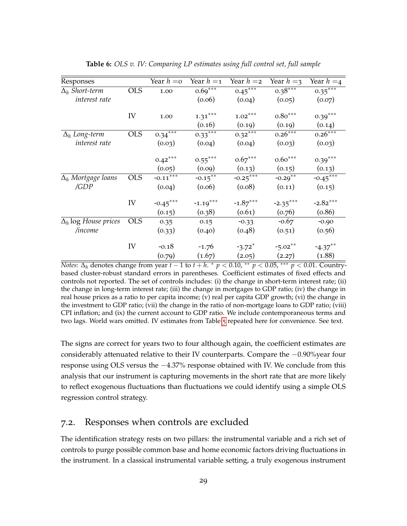<span id="page-30-0"></span>

| Responses                    |                  | Year $h =$ o | Year $h = 1$ | Year $h =$ 2         | Year $h = 3$ | Year $h = 4$           |
|------------------------------|------------------|--------------|--------------|----------------------|--------------|------------------------|
| $\Delta_h$ Short-term        | <b>OLS</b>       | 1.00         | $0.69***$    | $0.45***$            | $0.38***$    | $0.35***$              |
| interest rate                |                  |              | (0.06)       | (0.04)               | (0.05)       | (0.07)                 |
|                              | IV               | 1.00         | $1.31***$    | $1.02^{***}$         | $0.80***$    | $0.39***$              |
|                              |                  |              | (0.16)       | (0.19)               | (0.19)       | (0.14)                 |
| $\Delta_h$ Long-term         | $\overline{OLS}$ | $0.34$ ***   | $0.33***$    | $0.32***$            | $0.26***$    | $0.26***$              |
| interest rate                |                  | (0.03)       | (0.04)       | (0.04)               | (0.03)       | (0.03)                 |
|                              |                  | $0.42***$    | $0.55***$    | $0.67***$            | $0.60***$    | $0.39***$              |
|                              |                  | (0.05)       | (0.09)       | (0.13)               | (0.15)       | (0.13)                 |
| $\Delta_h$ Mortgage loans    | <b>OLS</b>       | $-0.11***$   | $-0.15***$   | $-0.25***$           | $-0.29**$    | $-0.45$ <sup>***</sup> |
| /GDP                         |                  | (0.04)       | (0.06)       | (0.08)               | (0.11)       | (0.15)                 |
|                              | IV               | $-0.45***$   | $-1.19***$   | $-1.87***$           | $-2.35***$   | $-2.82***$             |
|                              |                  | (0.15)       | (0.38)       | (0.61)               | (0.76)       | (0.86)                 |
| $\Delta_h \log$ House prices | <b>OLS</b>       | 0.35         | 0.15         | $-0.33$              | $-0.67$      | $-0.90$                |
| /income                      |                  | (0.33)       | (0.40)       | (0.48)               | (0.51)       | (0.56)                 |
|                              | IV               | $-0.18$      | $-1.76$      | $-3.72$ <sup>*</sup> | $-5.02***$   | $-4.37***$             |
|                              |                  | (0.79)       | (1.67)       | (2.05)               | (2.27)       | (1.88)                 |

**Table 6:** *OLS v. IV: Comparing LP estimates using full control set, full sample*

*Notes*: ∆*<sup>h</sup>* denotes change from year *t* − 1 to *t* + *h*. <sup>∗</sup> *p* < 0.10, ∗∗ *p* < 0.05, ∗∗∗ *p* < 0.01. Countrybased cluster-robust standard errors in parentheses. Coefficient estimates of fixed effects and controls not reported. The set of controls includes: (i) the change in short-term interest rate; (ii) the change in long-term interest rate; (iii) the change in mortgages to GDP ratio; (iv) the change in real house prices as a ratio to per capita income; (v) real per capita GDP growth; (vi) the change in the investment to GDP ratio; (vii) the change in the ratio of non-mortgage loans to GDP ratio; (viii) CPI inflation; and (ix) the current account to GDP ratio. We include contemporaneous terms and two lags. World wars omitted. IV estimates from Table [5](#page-25-0) repeated here for convenience. See text.

The signs are correct for years two to four although again, the coefficient estimates are considerably attenuated relative to their IV counterparts. Compare the −0.90%year four response using OLS versus the −4.37% response obtained with IV. We conclude from this analysis that our instrument is capturing movements in the short rate that are more likely to reflect exogenous fluctuations than fluctuations we could identify using a simple OLS regression control strategy.

## 7.2. Responses when controls are excluded

The identification strategy rests on two pillars: the instrumental variable and a rich set of controls to purge possible common base and home economic factors driving fluctuations in the instrument. In a classical instrumental variable setting, a truly exogenous instrument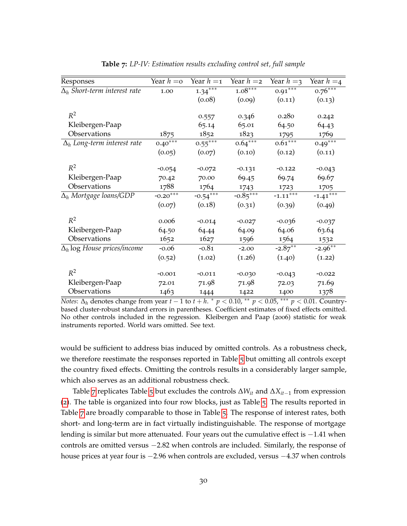<span id="page-31-0"></span>

| Responses                           | Year $h = o$ | Year $h = 1$ | Year $h = 2$ | Year $h = 3$ | Year $h = 4$          |
|-------------------------------------|--------------|--------------|--------------|--------------|-----------------------|
| $\Delta_h$ Short-term interest rate | 1.00         | $1.34***$    | $1.08***$    | $0.91***$    | $0.76***$             |
|                                     |              | (0.08)       | (0.09)       | (0.11)       | (0.13)                |
|                                     |              |              |              |              |                       |
| $R^2$                               |              | 0.557        | 0.346        | 0.280        | 0.242                 |
| Kleibergen-Paap                     |              | 65.14        | 65.01        | 64.50        | 64.43                 |
| Observations                        | 1875         | 1852         | 1823         | 1795         | 1769                  |
| $\Delta_h$ Long-term interest rate  | $0.40***$    | $0.55***$    | $0.64***$    | $0.61***$    | $0.49***$             |
|                                     | (0.05)       | (0.07)       | (0.10)       | (0.12)       | (0.11)                |
| $R^2$                               | $-0.054$     | $-0.072$     | $-0.131$     | $-0.122$     | $-0.043$              |
| Kleibergen-Paap                     | 70.42        | 70.00        | 69.45        | 69.74        | 69.67                 |
| Observations                        | 1788         | 1764         | 1743         | 1723         | 1705                  |
| $\Delta_h$ Mortgage loans/GDP       | $-0.20***$   | $-0.54***$   | $-0.85***$   | $-1.11***$   | $-1.41***$            |
|                                     | (0.07)       | (0.18)       | (0.31)       | (0.39)       | (0.49)                |
| $R^2$                               | 0.006        | $-0.014$     | $-0.027$     | $-0.036$     | $-0.037$              |
| Kleibergen-Paap                     | 64.50        | 64.44        | 64.09        | 64.06        | 63.64                 |
| Observations                        | 1652         | 1627         | 1596         | 1564         | 1532                  |
| $\Delta_h \log$ House prices/income | $-0.06$      | $-0.81$      | $-2.00$      | $-2.87**$    | $-2.96$ <sup>**</sup> |
|                                     | (0.52)       | (1.02)       | (1.26)       | (1.40)       | (1.22)                |
| $R^2$                               | $-0.001$     | $-0.011$     | $-0.030$     | $-0.043$     | $-0.022$              |
| Kleibergen-Paap                     | 72.01        | 71.98        | 71.98        | 72.03        | 71.69                 |
| Observations                        | 1463         | 1444         | 1422         | 1400         | 1378                  |
|                                     |              |              |              |              |                       |

**Table 7:** *LP-IV: Estimation results excluding control set, full sample*

*Notes*: ∆*<sup>h</sup>* denotes change from year *t* − 1 to *t* + *h*. <sup>∗</sup> *p* < 0.10, ∗∗ *p* < 0.05, ∗∗∗ *p* < 0.01. Countrybased cluster-robust standard errors in parentheses. Coefficient estimates of fixed effects omitted. No other controls included in the regression. Kleibergen and Paap (2006) statistic for weak instruments reported. World wars omitted. See text.

would be sufficient to address bias induced by omitted controls. As a robustness check, we therefore reestimate the responses reported in Table [5](#page-25-0) but omitting all controls except the country fixed effects. Omitting the controls results in a considerably larger sample, which also serves as an additional robustness check.

Table [7](#page-31-0) replicates Table [5](#page-25-0) but excludes the controls ∆*Wit* and ∆*Xit*−<sup>1</sup> from expression ([2](#page-21-0)). The table is organized into four row blocks, just as Table [5](#page-25-0). The results reported in Table [7](#page-31-0) are broadly comparable to those in Table [5](#page-25-0). The response of interest rates, both short- and long-term are in fact virtually indistinguishable. The response of mortgage lending is similar but more attenuated. Four years out the cumulative effect is −1.41 when controls are omitted versus −2.82 when controls are included. Similarly, the response of house prices at year four is −2.96 when controls are excluded, versus −4.37 when controls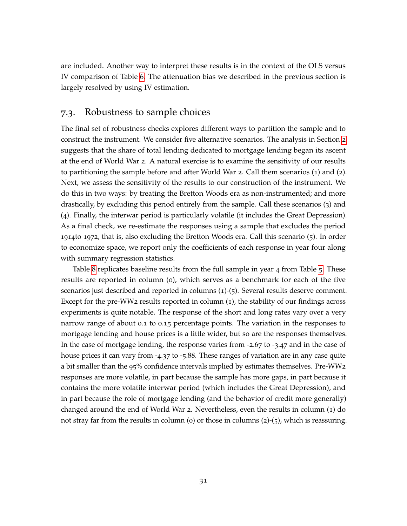are included. Another way to interpret these results is in the context of the OLS versus IV comparison of Table [6](#page-30-0). The attenuation bias we described in the previous section is largely resolved by using IV estimation.

### 7.3. Robustness to sample choices

The final set of robustness checks explores different ways to partition the sample and to construct the instrument. We consider five alternative scenarios. The analysis in Section [2](#page-6-0) suggests that the share of total lending dedicated to mortgage lending began its ascent at the end of World War 2. A natural exercise is to examine the sensitivity of our results to partitioning the sample before and after World War 2. Call them scenarios (1) and (2). Next, we assess the sensitivity of the results to our construction of the instrument. We do this in two ways: by treating the Bretton Woods era as non-instrumented; and more drastically, by excluding this period entirely from the sample. Call these scenarios (3) and (4). Finally, the interwar period is particularly volatile (it includes the Great Depression). As a final check, we re-estimate the responses using a sample that excludes the period 1914to 1972, that is, also excluding the Bretton Woods era. Call this scenario (5). In order to economize space, we report only the coefficients of each response in year four along with summary regression statistics.

Table [8](#page-33-0) replicates baseline results from the full sample in year 4 from Table [5](#page-25-0). These results are reported in column (0), which serves as a benchmark for each of the five scenarios just described and reported in columns (1)-(5). Several results deserve comment. Except for the pre-WW2 results reported in column (1), the stability of our findings across experiments is quite notable. The response of the short and long rates vary over a very narrow range of about 0.1 to 0.15 percentage points. The variation in the responses to mortgage lending and house prices is a little wider, but so are the responses themselves. In the case of mortgage lending, the response varies from -2.67 to -3.47 and in the case of house prices it can vary from -4.37 to -5.88. These ranges of variation are in any case quite a bit smaller than the 95% confidence intervals implied by estimates themselves. Pre-WW2 responses are more volatile, in part because the sample has more gaps, in part because it contains the more volatile interwar period (which includes the Great Depression), and in part because the role of mortgage lending (and the behavior of credit more generally) changed around the end of World War 2. Nevertheless, even the results in column (1) do not stray far from the results in column (0) or those in columns  $(2)-(5)$ , which is reassuring.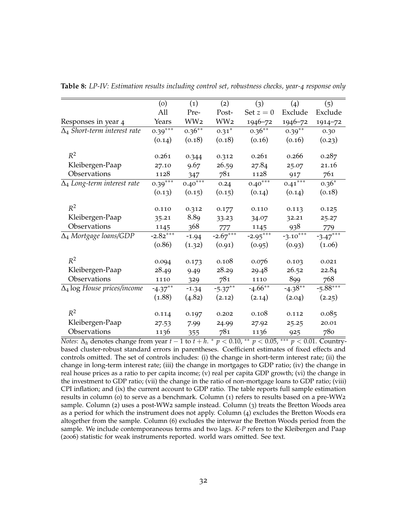|                                     | (0)        | (1)             | (2)             | (3)          | (4)         | (5)        |
|-------------------------------------|------------|-----------------|-----------------|--------------|-------------|------------|
|                                     | All        | Pre-            | Post-           | Set $z=0$    | Exclude     | Exclude    |
| Responses in year 4                 | Years      | WW <sub>2</sub> | WW <sub>2</sub> | 1946-72      | 1946-72     | 1914-72    |
| $\Delta_4$ Short-term interest rate | $0.39***$  | $0.36**$        | $0.31*$         | $0.36**$     | $0.39^{**}$ | 0.30       |
|                                     | (0.14)     | (0.18)          | (0.18)          | (0.16)       | (0.16)      | (0.23)     |
| $R^2$                               | 0.261      | 0.344           | 0.312           | 0.261        | 0.266       | 0.287      |
| Kleibergen-Paap                     | 27.10      | 9.67            | 26.59           | 27.84        | 25.07       | 21.16      |
| Observations                        | 1128       | 347             | 781             | 1128         | 917         | 761        |
| $\Delta_4$ Long-term interest rate  | $0.39***$  | $0.40***$       | 0.24            | $0.40^{***}$ | $0.41***$   | $0.36*$    |
|                                     | (0.13)     | (0.15)          | (0.15)          | (0.14)       | (0.14)      | (0.18)     |
| $R^2$                               | 0.110      | 0.312           | 0.177           | 0.110        | 0.113       | 0.125      |
| Kleibergen-Paap                     | 35.21      | 8.89            | 33.23           | 34.07        | 32.21       | 25.27      |
| Observations                        | 1145       | 368             | 777             | 1145         | 938         | 779        |
| $\Delta_4$ Mortgage loans/GDP       | $-2.82***$ | $-1.94$         | $-2.67***$      | $-2.95***$   | $-3.10***$  | $-3.47***$ |
|                                     | (0.86)     | (1.32)          | (0.91)          | (0.95)       | (0.93)      | (1.06)     |
| $R^2$                               | 0.094      | 0.173           | 0.108           | 0.076        | 0.103       | 0.021      |
| Kleibergen-Paap                     | 28.49      | 9.49            | 28.29           | 29.48        | 26.52       | 22.84      |
| Observations                        | 1110       | 329             | 781             | 1110         | 899         | 768        |
| $\Delta_4$ log House prices/income  | $-4.37***$ | $-1.34$         | $-5.37***$      | $-4.66**$    | $-4.38**$   | $-5.88***$ |
|                                     | (1.88)     | (4.82)          | (2.12)          | (2.14)       | (2.04)      | (2.25)     |
| $R^2$                               | 0.114      | 0.197           | 0.202           | 0.108        | 0.112       | 0.085      |
| Kleibergen-Paap                     | 27.53      | 7.99            | 24.99           | 27.92        | 25.25       | 20.01      |
| Observations                        | 1136       | 355             | 781             | 1136         | 925         | 780        |

<span id="page-33-0"></span>**Table 8:** *LP-IV: Estimation results including control set, robustness checks, year-4 response only*

*Notes*: ∆*<sup>h</sup>* denotes change from year *t* − 1 to *t* + *h*. <sup>∗</sup> *p* < 0.10, ∗∗ *p* < 0.05, ∗∗∗ *p* < 0.01. Countrybased cluster-robust standard errors in parentheses. Coefficient estimates of fixed effects and controls omitted. The set of controls includes: (i) the change in short-term interest rate; (ii) the change in long-term interest rate; (iii) the change in mortgages to GDP ratio; (iv) the change in real house prices as a ratio to per capita income; (v) real per capita GDP growth; (vi) the change in the investment to GDP ratio; (vii) the change in the ratio of non-mortgage loans to GDP ratio; (viii) CPI inflation; and (ix) the current account to GDP ratio. The table reports full sample estimation results in column (0) to serve as a benchmark. Column (1) refers to results based on a pre-WW2 sample. Column (2) uses a post-WW2 sample instead. Column (3) treats the Bretton Woods area as a period for which the instrument does not apply. Column (4) excludes the Bretton Woods era altogether from the sample. Column (6) excludes the interwar the Bretton Woods period from the sample. We include contemporaneous terms and two lags. *K-P* refers to the Kleibergen and Paap (2006) statistic for weak instruments reported. world wars omitted. See text.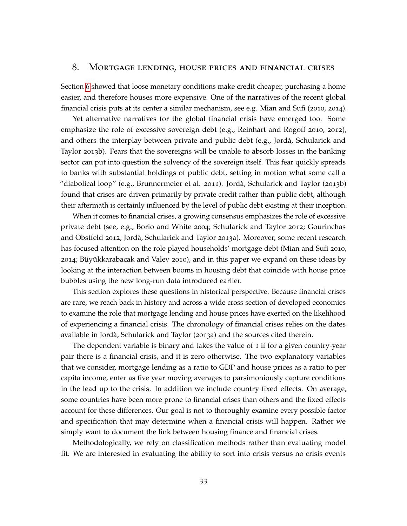#### 8. Mortgage lending, house prices and financial crises

Section [6](#page-22-0) showed that loose monetary conditions make credit cheaper, purchasing a home easier, and therefore houses more expensive. One of the narratives of the recent global financial crisis puts at its center a similar mechanism, see e.g. Mian and Sufi (2010, 2014).

Yet alternative narratives for the global financial crisis have emerged too. Some emphasize the role of excessive sovereign debt (e.g., Reinhart and Rogoff 2010, 2012), and others the interplay between private and public debt (e.g., Jorda, Schularick and ` Taylor 2013b). Fears that the sovereigns will be unable to absorb losses in the banking sector can put into question the solvency of the sovereign itself. This fear quickly spreads to banks with substantial holdings of public debt, setting in motion what some call a "diabolical loop" (e.g., Brunnermeier et al. 2011). Jordà, Schularick and Taylor (2013b) found that crises are driven primarily by private credit rather than public debt, although their aftermath is certainly influenced by the level of public debt existing at their inception.

When it comes to financial crises, a growing consensus emphasizes the role of excessive private debt (see, e.g., Borio and White 2004; Schularick and Taylor 2012; Gourinchas and Obstfeld 2012; Jorda, Schularick and Taylor ` 2013a). Moreover, some recent research has focused attention on the role played households' mortgage debt (Mian and Sufi 2010,  $2014$ ; Büyükkarabacak and Valev  $2010$ , and in this paper we expand on these ideas by looking at the interaction between booms in housing debt that coincide with house price bubbles using the new long-run data introduced earlier.

This section explores these questions in historical perspective. Because financial crises are rare, we reach back in history and across a wide cross section of developed economies to examine the role that mortgage lending and house prices have exerted on the likelihood of experiencing a financial crisis. The chronology of financial crises relies on the dates available in Jordà, Schularick and Taylor (2013a) and the sources cited therein.

The dependent variable is binary and takes the value of 1 if for a given country-year pair there is a financial crisis, and it is zero otherwise. The two explanatory variables that we consider, mortgage lending as a ratio to GDP and house prices as a ratio to per capita income, enter as five year moving averages to parsimoniously capture conditions in the lead up to the crisis. In addition we include country fixed effects. On average, some countries have been more prone to financial crises than others and the fixed effects account for these differences. Our goal is not to thoroughly examine every possible factor and specification that may determine when a financial crisis will happen. Rather we simply want to document the link between housing finance and financial crises.

Methodologically, we rely on classification methods rather than evaluating model fit. We are interested in evaluating the ability to sort into crisis versus no crisis events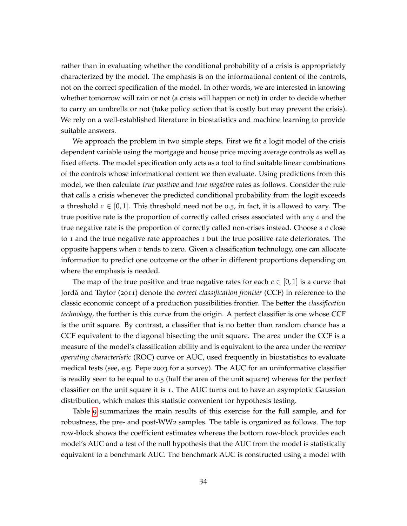rather than in evaluating whether the conditional probability of a crisis is appropriately characterized by the model. The emphasis is on the informational content of the controls, not on the correct specification of the model. In other words, we are interested in knowing whether tomorrow will rain or not (a crisis will happen or not) in order to decide whether to carry an umbrella or not (take policy action that is costly but may prevent the crisis). We rely on a well-established literature in biostatistics and machine learning to provide suitable answers.

We approach the problem in two simple steps. First we fit a logit model of the crisis dependent variable using the mortgage and house price moving average controls as well as fixed effects. The model specification only acts as a tool to find suitable linear combinations of the controls whose informational content we then evaluate. Using predictions from this model, we then calculate *true positive* and *true negative* rates as follows. Consider the rule that calls a crisis whenever the predicted conditional probability from the logit exceeds a threshold  $c \in [0,1]$ . This threshold need not be 0.5, in fact, it is allowed to vary. The true positive rate is the proportion of correctly called crises associated with any *c* and the true negative rate is the proportion of correctly called non-crises instead. Choose a *c* close to 1 and the true negative rate approaches 1 but the true positive rate deteriorates. The opposite happens when *c* tends to zero. Given a classification technology, one can allocate information to predict one outcome or the other in different proportions depending on where the emphasis is needed.

The map of the true positive and true negative rates for each  $c \in [0,1]$  is a curve that Jordà and Taylor (2011) denote the *correct classification frontier* (CCF) in reference to the classic economic concept of a production possibilities frontier. The better the *classification technology*, the further is this curve from the origin. A perfect classifier is one whose CCF is the unit square. By contrast, a classifier that is no better than random chance has a CCF equivalent to the diagonal bisecting the unit square. The area under the CCF is a measure of the model's classification ability and is equivalent to the area under the *receiver operating characteristic* (ROC) curve or AUC, used frequently in biostatistics to evaluate medical tests (see, e.g. Pepe 2003 for a survey). The AUC for an uninformative classifier is readily seen to be equal to 0.5 (half the area of the unit square) whereas for the perfect classifier on the unit square it is 1. The AUC turns out to have an asymptotic Gaussian distribution, which makes this statistic convenient for hypothesis testing.

Table [9](#page-36-0) summarizes the main results of this exercise for the full sample, and for robustness, the pre- and post-WW2 samples. The table is organized as follows. The top row-block shows the coefficient estimates whereas the bottom row-block provides each model's AUC and a test of the null hypothesis that the AUC from the model is statistically equivalent to a benchmark AUC. The benchmark AUC is constructed using a model with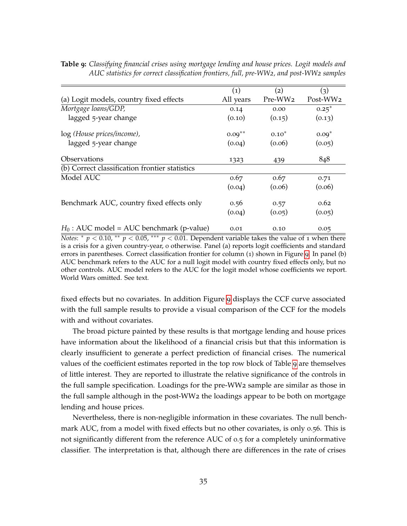|                                                | (1)       | $\left( 2\right)$ | (3)      |
|------------------------------------------------|-----------|-------------------|----------|
| (a) Logit models, country fixed effects        | All years | Pre-WW2           | Post-WW2 |
| Mortgage loans/GDP,                            | 0.14      | 0.00              | $0.25*$  |
| lagged 5-year change                           | (0.10)    | (0.15)            | (0.13)   |
| log (House prices/income),                     | $0.09**$  | $0.10*$           | $0.09*$  |
| lagged 5-year change                           | (0.04)    | (0.06)            | (0.05)   |
| Observations                                   | 1323      | 439               | 848      |
| (b) Correct classification frontier statistics |           |                   |          |
| Model AUC                                      | 0.67      | 0.67              | 0.71     |
|                                                | (0.04)    | (0.06)            | (0.06)   |
| Benchmark AUC, country fixed effects only      | 0.56      | 0.57              | 0.62     |
|                                                | (0.04)    | (0.05)            | (0.05)   |
| $H_0$ : AUC model = AUC benchmark (p-value)    | 0.01      | 0.10              | 0.05     |

<span id="page-36-0"></span>**Table 9:** *Classifying financial crises using mortgage lending and house prices. Logit models and AUC statistics for correct classification frontiers, full, pre-WW2, and post-WW2 samples*

*Notes*:  $*$   $p$  < 0.10,  $*$   $*$   $p$  < 0.05,  $*$   $*$   $*$   $p$  < 0.01. Dependent variable takes the value of 1 when there is a crisis for a given country-year, 0 otherwise. Panel (a) reports logit coefficients and standard errors in parentheses. Correct classification frontier for column (1) shown in Figure [9](#page-37-0). In panel (b) AUC benchmark refers to the AUC for a null logit model with country fixed effects only, but no other controls. AUC model refers to the AUC for the logit model whose coefficients we report. World Wars omitted. See text.

fixed effects but no covariates. In addition Figure [9](#page-37-0) displays the CCF curve associated with the full sample results to provide a visual comparison of the CCF for the models with and without covariates.

The broad picture painted by these results is that mortgage lending and house prices have information about the likelihood of a financial crisis but that this information is clearly insufficient to generate a perfect prediction of financial crises. The numerical values of the coefficient estimates reported in the top row block of Table [9](#page-36-0) are themselves of little interest. They are reported to illustrate the relative significance of the controls in the full sample specification. Loadings for the pre-WW2 sample are similar as those in the full sample although in the post-WW2 the loadings appear to be both on mortgage lending and house prices.

Nevertheless, there is non-negligible information in these covariates. The null benchmark AUC, from a model with fixed effects but no other covariates, is only 0.56. This is not significantly different from the reference AUC of 0.5 for a completely uninformative classifier. The interpretation is that, although there are differences in the rate of crises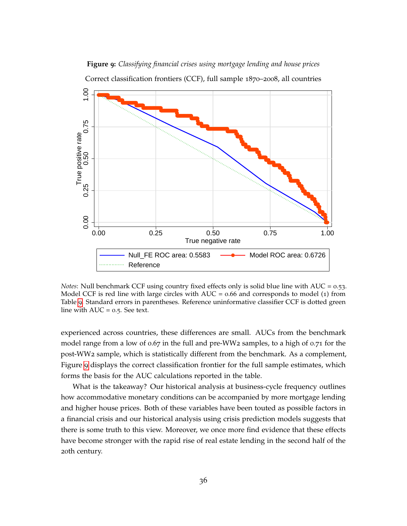<span id="page-37-0"></span>



*Notes*: Null benchmark CCF using country fixed effects only is solid blue line with AUC = 0.53. Model CCF is red line with large circles with  $AUC = 0.66$  and corresponds to model (1) from Table [9](#page-36-0). Standard errors in parentheses. Reference uninformative classifier CCF is dotted green line with  $AUC = 0.5$ . See text.

experienced across countries, these differences are small. AUCs from the benchmark model range from a low of 0.67 in the full and pre-WW2 samples, to a high of 0.71 for the post-WW2 sample, which is statistically different from the benchmark. As a complement, Figure [9](#page-37-0) displays the correct classification frontier for the full sample estimates, which forms the basis for the AUC calculations reported in the table.

What is the takeaway? Our historical analysis at business-cycle frequency outlines how accommodative monetary conditions can be accompanied by more mortgage lending and higher house prices. Both of these variables have been touted as possible factors in a financial crisis and our historical analysis using crisis prediction models suggests that there is some truth to this view. Moreover, we once more find evidence that these effects have become stronger with the rapid rise of real estate lending in the second half of the 20th century.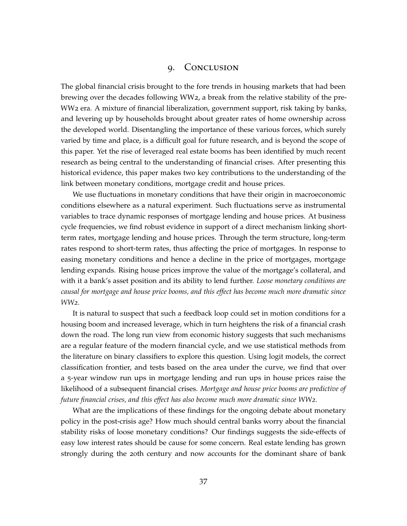## 9. Conclusion

The global financial crisis brought to the fore trends in housing markets that had been brewing over the decades following WW2, a break from the relative stability of the pre-WW2 era. A mixture of financial liberalization, government support, risk taking by banks, and levering up by households brought about greater rates of home ownership across the developed world. Disentangling the importance of these various forces, which surely varied by time and place, is a difficult goal for future research, and is beyond the scope of this paper. Yet the rise of leveraged real estate booms has been identified by much recent research as being central to the understanding of financial crises. After presenting this historical evidence, this paper makes two key contributions to the understanding of the link between monetary conditions, mortgage credit and house prices.

We use fluctuations in monetary conditions that have their origin in macroeconomic conditions elsewhere as a natural experiment. Such fluctuations serve as instrumental variables to trace dynamic responses of mortgage lending and house prices. At business cycle frequencies, we find robust evidence in support of a direct mechanism linking shortterm rates, mortgage lending and house prices. Through the term structure, long-term rates respond to short-term rates, thus affecting the price of mortgages. In response to easing monetary conditions and hence a decline in the price of mortgages, mortgage lending expands. Rising house prices improve the value of the mortgage's collateral, and with it a bank's asset position and its ability to lend further. *Loose monetary conditions are causal for mortgage and house price booms, and this effect has become much more dramatic since WW2.*

It is natural to suspect that such a feedback loop could set in motion conditions for a housing boom and increased leverage, which in turn heightens the risk of a financial crash down the road. The long run view from economic history suggests that such mechanisms are a regular feature of the modern financial cycle, and we use statistical methods from the literature on binary classifiers to explore this question. Using logit models, the correct classification frontier, and tests based on the area under the curve, we find that over a 5-year window run ups in mortgage lending and run ups in house prices raise the likelihood of a subsequent financial crises. *Mortgage and house price booms are predictive of future financial crises, and this effect has also become much more dramatic since WW2.*

What are the implications of these findings for the ongoing debate about monetary policy in the post-crisis age? How much should central banks worry about the financial stability risks of loose monetary conditions? Our findings suggests the side-effects of easy low interest rates should be cause for some concern. Real estate lending has grown strongly during the 20th century and now accounts for the dominant share of bank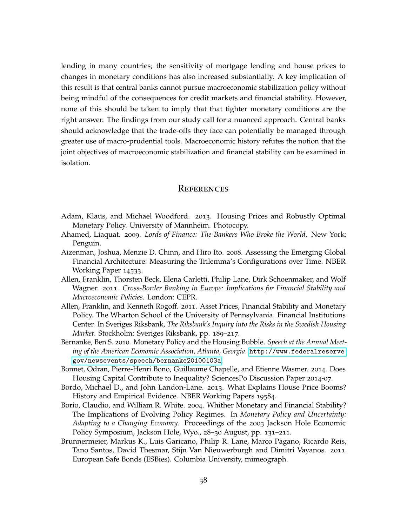lending in many countries; the sensitivity of mortgage lending and house prices to changes in monetary conditions has also increased substantially. A key implication of this result is that central banks cannot pursue macroeconomic stabilization policy without being mindful of the consequences for credit markets and financial stability. However, none of this should be taken to imply that that tighter monetary conditions are the right answer. The findings from our study call for a nuanced approach. Central banks should acknowledge that the trade-offs they face can potentially be managed through greater use of macro-prudential tools. Macroeconomic history refutes the notion that the joint objectives of macroeconomic stabilization and financial stability can be examined in isolation.

#### **REFERENCES**

- Adam, Klaus, and Michael Woodford. 2013. Housing Prices and Robustly Optimal Monetary Policy. University of Mannheim. Photocopy.
- Ahamed, Liaquat. 2009. *Lords of Finance: The Bankers Who Broke the World*. New York: Penguin.
- Aizenman, Joshua, Menzie D. Chinn, and Hiro Ito. 2008. Assessing the Emerging Global Financial Architecture: Measuring the Trilemma's Configurations over Time. NBER Working Paper 14533.
- Allen, Franklin, Thorsten Beck, Elena Carletti, Philip Lane, Dirk Schoenmaker, and Wolf Wagner. 2011. *Cross-Border Banking in Europe: Implications for Financial Stability and Macroeconomic Policies.* London: CEPR.
- Allen, Franklin, and Kenneth Rogoff. 2011. Asset Prices, Financial Stability and Monetary Policy. The Wharton School of the University of Pennsylvania. Financial Institutions Center. In Sveriges Riksbank, *The Riksbank's Inquiry into the Risks in the Swedish Housing Market*. Stockholm: Sveriges Riksbank, pp. 189–217.
- Bernanke, Ben S. 2010. Monetary Policy and the Housing Bubble. *Speech at the Annual Meeting of the American Economic Association, Atlanta, Georgia*. [http://www.federalreserve.](http://www.federalreserve.gov/newsevents/speech/bernanke20100103a) [gov/newsevents/speech/bernanke20100103a](http://www.federalreserve.gov/newsevents/speech/bernanke20100103a).
- Bonnet, Odran, Pierre-Henri Bono, Guillaume Chapelle, and Etienne Wasmer. 2014. Does Housing Capital Contribute to Inequality? SciencesPo Discussion Paper 2014-07.
- Bordo, Michael D., and John Landon-Lane. 2013. What Explains House Price Booms? History and Empirical Evidence. NBER Working Papers 19584.
- Borio, Claudio, and William R. White. 2004. Whither Monetary and Financial Stability? The Implications of Evolving Policy Regimes. In *Monetary Policy and Uncertainty: Adapting to a Changing Economy*. Proceedings of the 2003 Jackson Hole Economic Policy Symposium, Jackson Hole, Wyo., 28–30 August, pp. 131–211.
- Brunnermeier, Markus K., Luis Garicano, Philip R. Lane, Marco Pagano, Ricardo Reis, Tano Santos, David Thesmar, Stijn Van Nieuwerburgh and Dimitri Vayanos. 2011. European Safe Bonds (ESBies). Columbia University, mimeograph.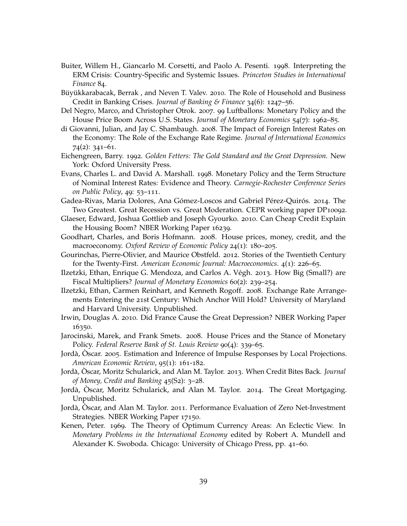- Buiter, Willem H., Giancarlo M. Corsetti, and Paolo A. Pesenti. 1998. Interpreting the ERM Crisis: Country-Specific and Systemic Issues. *Princeton Studies in International Finance* 84.
- Büyükkarabacak, Berrak, and Neven T. Valev. 2010. The Role of Household and Business Credit in Banking Crises. *Journal of Banking & Finance* 34(6): 1247–56.
- Del Negro, Marco, and Christopher Otrok. 2007. 99 Luftballons: Monetary Policy and the House Price Boom Across U.S. States. *Journal of Monetary Economics* 54(7): 1962–85.
- di Giovanni, Julian, and Jay C. Shambaugh. 2008. The Impact of Foreign Interest Rates on the Economy: The Role of the Exchange Rate Regime. *Journal of International Economics* 74(2): 341–61.
- Eichengreen, Barry. 1992. *Golden Fetters: The Gold Standard and the Great Depression.* New York: Oxford University Press.
- Evans, Charles L. and David A. Marshall. 1998. Monetary Policy and the Term Structure of Nominal Interest Rates: Evidence and Theory. *Carnegie-Rochester Conference Series on Public Policy*, 49: 53–111.
- Gadea-Rivas, Maria Dolores, Ana Gómez-Loscos and Gabriel Pérez-Quirós. 2014. The Two Greatest. Great Recession vs. Great Moderation. CEPR working paper DP10092.
- Glaeser, Edward, Joshua Gottlieb and Joseph Gyourko. 2010. Can Cheap Credit Explain the Housing Boom? NBER Working Paper 16239.
- Goodhart, Charles, and Boris Hofmann. 2008. House prices, money, credit, and the macroeconomy. *Oxford Review of Economic Policy* 24(1): 180–205.
- Gourinchas, Pierre-Olivier, and Maurice Obstfeld. 2012. Stories of the Twentieth Century for the Twenty-First. *American Economic Journal: Macroeconomics*. 4(1): 226–65.
- Ilzetzki, Ethan, Enrique G. Mendoza, and Carlos A. Végh. 2013. How Big (Small?) are Fiscal Multipliers? *Journal of Monetary Economics* 60(2): 239–254.
- Ilzetzki, Ethan, Carmen Reinhart, and Kenneth Rogoff. 2008. Exchange Rate Arrangements Entering the 21st Century: Which Anchor Will Hold? University of Maryland and Harvard University. Unpublished.
- Irwin, Douglas A. 2010. Did France Cause the Great Depression? NBER Working Paper 16350.
- Jarocinski, Marek, and Frank Smets. 2008. House Prices and the Stance of Monetary Policy. *Federal Reserve Bank of St. Louis Review* 90(4): 339–65.
- Jordà, Òscar. 2005. Estimation and Inference of Impulse Responses by Local Projections. *American Economic Review*, 95(1): 161-182.
- Jorda,` Oscar, Moritz Schularick, and Alan M. Taylor. ` 2013. When Credit Bites Back. *Journal of Money, Credit and Banking* 45(S2): 3–28.
- Jordà, Oscar, Moritz Schularick, and Alan M. Taylor. 2014. The Great Mortgaging. Unpublished.
- Jordà, Oscar, and Alan M. Taylor. 2011. Performance Evaluation of Zero Net-Investment Strategies. NBER Working Paper 17150.
- Kenen, Peter. 1969. The Theory of Optimum Currency Areas: An Eclectic View. In *Monetary Problems in the International Economy* edited by Robert A. Mundell and Alexander K. Swoboda. Chicago: University of Chicago Press, pp. 41–60.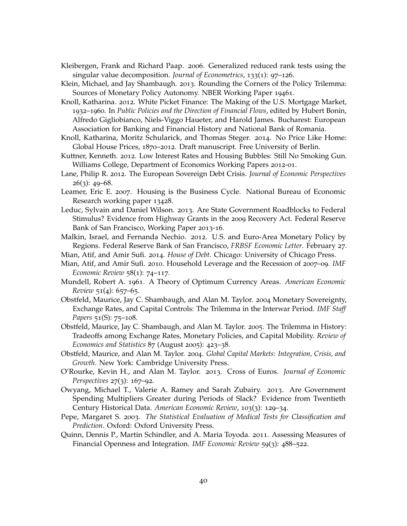- Kleibergen, Frank and Richard Paap. 2006. Generalized reduced rank tests using the singular value decomposition. *Journal of Econometrics*, 133(1): 97–126.
- Klein, Michael, and Jay Shambaugh. 2013. Rounding the Corners of the Policy Trilemma: Sources of Monetary Policy Autonomy. NBER Working Paper 19461.
- Knoll, Katharina. 2012. White Picket Finance: The Making of the U.S. Mortgage Market, 1932–1960. In *Public Policies and the Direction of Financial Flows*, edited by Hubert Bonin, Alfredo Gigliobianco, Niels-Viggo Haueter, and Harold James. Bucharest: European Association for Banking and Financial History and National Bank of Romania.
- Knoll, Katharina, Moritz Schularick, and Thomas Steger. 2014. No Price Like Home: Global House Prices, 1870–2012. Draft manuscript. Free University of Berlin.
- Kuttner, Kenneth. 2012. Low Interest Rates and Housing Bubbles: Still No Smoking Gun. Williams College, Department of Economics Working Papers 2012-01.
- Lane, Philip R. 2012. The European Sovereign Debt Crisis. *Journal of Economic Perspectives*  $26(3)$ : 49–68.
- Leamer, Eric E. 2007. Housing is the Business Cycle. National Bureau of Economic Research working paper 13428.
- Leduc, Sylvain and Daniel Wilson. 2013. Are State Government Roadblocks to Federal Stimulus? Evidence from Highway Grants in the 2009 Recovery Act. Federal Reserve Bank of San Francisco, Working Paper 2013-16.
- Malkin, Israel, and Fernanda Nechio. 2012. U.S. and Euro-Area Monetary Policy by Regions. Federal Reserve Bank of San Francisco, *FRBSF Economic Letter*. February 27.
- Mian, Atif, and Amir Sufi. 2014. *House of Debt*. Chicago: University of Chicago Press.
- Mian, Atif, and Amir Sufi. 2010. Household Leverage and the Recession of 2007–09. *IMF Economic Review* 58(1): 74–117.
- Mundell, Robert A. 1961. A Theory of Optimum Currency Areas. *American Economic Review* 51(4): 657–65.
- Obstfeld, Maurice, Jay C. Shambaugh, and Alan M. Taylor. 2004 Monetary Sovereignty, Exchange Rates, and Capital Controls: The Trilemma in the Interwar Period. *IMF Staff Papers* 51(S): 75–108.
- Obstfeld, Maurice, Jay C. Shambaugh, and Alan M. Taylor. 2005. The Trilemma in History: Tradeoffs among Exchange Rates, Monetary Policies, and Capital Mobility. *Review of Economics and Statistics* 87 (August 2005): 423–38.
- Obstfeld, Maurice, and Alan M. Taylor. 2004. *Global Capital Markets: Integration, Crisis, and Growth*. New York: Cambridge University Press.
- O'Rourke, Kevin H., and Alan M. Taylor. 2013. Cross of Euros. *Journal of Economic Perspectives* 27(3): 167–92.
- Owyang, Michael T., Valerie A. Ramey and Sarah Zubairy. 2013. Are Government Spending Multipliers Greater during Periods of Slack? Evidence from Twentieth Century Historical Data. *American Economic Review*, 103(3): 129–34.
- Pepe, Margaret S. 2003. *The Statistical Evaluation of Medical Tests for Classification and Prediction*. Oxford: Oxford University Press.
- Quinn, Dennis P., Martin Schindler, and A. Maria Toyoda. 2011. Assessing Measures of Financial Openness and Integration. *IMF Economic Review* 59(3): 488–522.